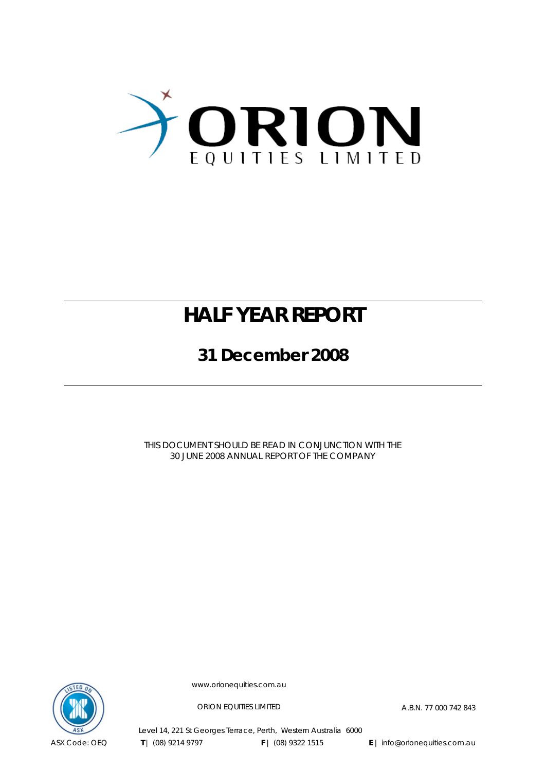

# **HALF YEAR REPORT**

**31 December 2008** 

THIS DOCUMENT SHOULD BE READ IN CONJUNCTION WITH THE 30 JUNE 2008 ANNUAL REPORT OF THE COMPANY



www.orionequities.com.au

ORION EQUITIES LIMITED A.B.N. 77 000 742 843

Level 14, 221 St Georges Terrace, Perth, Western Australia 6000  **T** | (08) 9214 9797 **F** | (08) 9322 1515 **E** | info@orionequities.com.au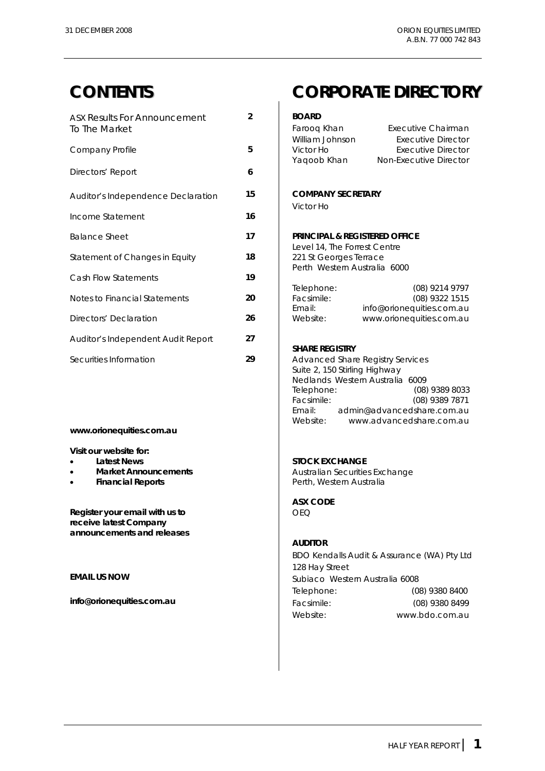| <b>ASX Results For Announcement</b> | $\overline{2}$ | <b>BOARD</b>                             |                                         |
|-------------------------------------|----------------|------------------------------------------|-----------------------------------------|
| To The Market                       |                | Farooq Khan                              | Executive Chairman                      |
|                                     |                | William Johnson                          | Executive Director                      |
| Company Profile                     | 5              | Victor Ho                                | <b>Executive Director</b>               |
| Directors' Report                   | 6              | Yaqoob Khan                              | Non-Executive Director                  |
|                                     |                |                                          |                                         |
| Auditor's Independence Declaration  | 15             | <b>COMPANY SECRETARY</b>                 |                                         |
|                                     |                | Victor Ho                                |                                         |
| Income Statement                    | 16             |                                          |                                         |
| <b>Balance Sheet</b>                | 17             | <b>PRINCIPAL &amp; REGISTERED OFFICE</b> |                                         |
|                                     |                | Level 14, The Forrest Centre             |                                         |
| Statement of Changes in Equity      | 18             | 221 St Georges Terrace                   |                                         |
|                                     |                | Perth Western Australia 6000             |                                         |
| Cash Flow Statements                | 19             |                                          |                                         |
| Notes to Financial Statements       | 20             | Telephone:<br>Facsimile:                 | (08) 9214 9797<br>(08) 9322 1515        |
|                                     |                | Email:                                   | info@orionequities.com.au               |
| Directors' Declaration              | 26             | Website:                                 | www.orionequities.com.au                |
|                                     |                |                                          |                                         |
| Auditor's Independent Audit Report  | 27             | <b>SHARE REGISTRY</b>                    |                                         |
|                                     |                |                                          |                                         |
| Securities Information              | 29             |                                          | <b>Advanced Share Registry Services</b> |

#### **www.orionequities.com.au**

**Visit our website for:** 

- 
- 
- 

**Register your email with us to <br>
<br>
CEQ receive latest Company announcements and releases** 

## **CONTENTS CORPORATE DIRECTORY**

| Farooq Khan     | Executive Chairman     |
|-----------------|------------------------|
| William Johnson | Executive Director     |
| Victor Ho       | Executive Director     |
| Yaqoob Khan     | Non-Executive Director |
|                 |                        |

#### Auditor's Independence Declaration **15 COMPANY SECRETARY**

#### **PRINCIPAL & REGISTERED OFFICE**

|            | (08) 9214 9797            |
|------------|---------------------------|
| Facsimile: | (08) 9322 1515            |
| Email:     | info@orionequities.com.au |
| Website:   | www.orionequities.com.au  |
|            | Telephone:                |

#### **SHARE REGISTRY**

Advanced Share Registry Services Suite 2, 150 Stirling Highway Nedlands Western Australia 6009 Telephone: (08) 9389 8033 Facsimile: (08) 9389 7871 Email: admin@advancedshare.com.au www.advancedshare.com.au

#### **Latest News Latest News STOCK EXCHANGE**

• **Market Announcements Australian Securities Exchange** • **Financial Reports Perth, Western Australia** 

**ASX CODE** 

#### **AUDITOR**

 BDO Kendalls Audit & Assurance (WA) Pty Ltd 128 Hay Street **EMAIL US NOW EMAIL US NOW Subiaco** Western Australia 6008 Telephone: (08) 9380 8400 **info@orionequities.com.au <br>
Facsimile:** (08) 9380 8499 Website: www.bdo.com.au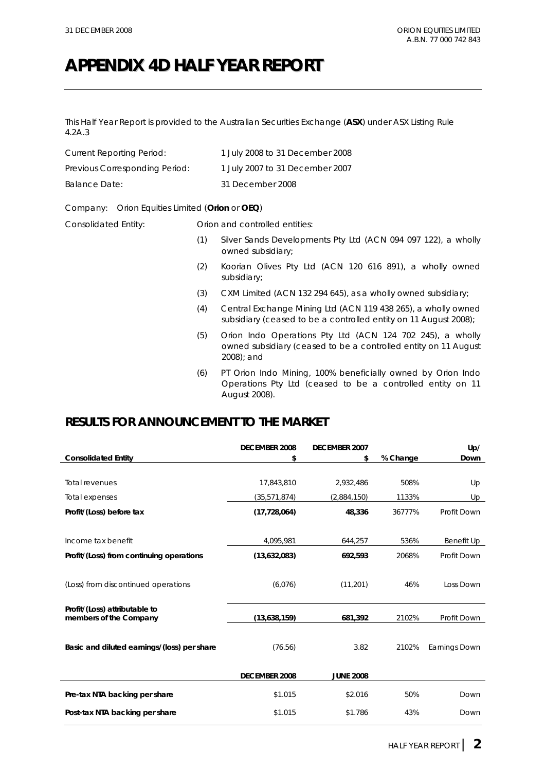## **APPENDIX 4D HALF YEAR REPORT**

This Half Year Report is provided to the Australian Securities Exchange (**ASX**) under ASX Listing Rule 4.2A.3

| Current Reporting Period:      | 1 July 2008 to 31 December 2008 |
|--------------------------------|---------------------------------|
| Previous Corresponding Period: | 1 July 2007 to 31 December 2007 |
| Balance Date:                  | 31 December 2008                |

#### Company: Orion Equities Limited (**Orion** or **OEQ**)

Consolidated Entity: Orion and controlled entities:

- (1) Silver Sands Developments Pty Ltd (ACN 094 097 122), a wholly owned subsidiary;
- (2) Koorian Olives Pty Ltd (ACN 120 616 891), a wholly owned subsidiary;
- (3) CXM Limited (ACN 132 294 645), as a wholly owned subsidiary;
- (4) Central Exchange Mining Ltd (ACN 119 438 265), a wholly owned subsidiary (ceased to be a controlled entity on 11 August 2008);
- (5) Orion Indo Operations Pty Ltd (ACN 124 702 245), a wholly owned subsidiary (ceased to be a controlled entity on 11 August 2008); and
- (6) PT Orion Indo Mining, 100% beneficially owned by Orion Indo Operations Pty Ltd (ceased to be a controlled entity on 11 August 2008).

### **RESULTS FOR ANNOUNCEMENT TO THE MARKET**

|                                                         | <b>DECEMBER 2008</b> | <b>DECEMBER 2007</b> |          | Up/           |
|---------------------------------------------------------|----------------------|----------------------|----------|---------------|
| <b>Consolidated Entity</b>                              | \$                   | \$                   | % Change | Down          |
|                                                         |                      |                      |          |               |
| <b>Total revenues</b>                                   | 17,843,810           | 2,932,486            | 508%     | Up            |
| Total expenses                                          | (35, 571, 874)       | (2,884,150)          | 1133%    | Up            |
| Profit/(Loss) before tax                                | (17, 728, 064)       | 48,336               | 36777%   | Profit Down   |
|                                                         |                      |                      |          |               |
| Income tax benefit                                      | 4,095,981            | 644,257              | 536%     | Benefit Up    |
| Profit/(Loss) from continuing operations                | (13,632,083)         | 692,593              | 2068%    | Profit Down   |
|                                                         |                      |                      |          |               |
| (Loss) from discontinued operations                     | (6,076)              | (11, 201)            | 46%      | Loss Down     |
|                                                         |                      |                      |          |               |
| Profit/(Loss) attributable to<br>members of the Company | (13,638,159)         | 681,392              | 2102%    | Profit Down   |
|                                                         |                      |                      |          |               |
|                                                         |                      | 3.82                 | 2102%    |               |
| Basic and diluted earnings/(loss) per share             | (76.56)              |                      |          | Earnings Down |
|                                                         |                      |                      |          |               |
|                                                         | <b>DECEMBER 2008</b> | <b>JUNE 2008</b>     |          |               |
| Pre-tax NTA backing per share                           | \$1.015              | \$2.016              | 50%      | Down          |
| Post-tax NTA backing per share                          | \$1.015              | \$1.786              | 43%      | Down          |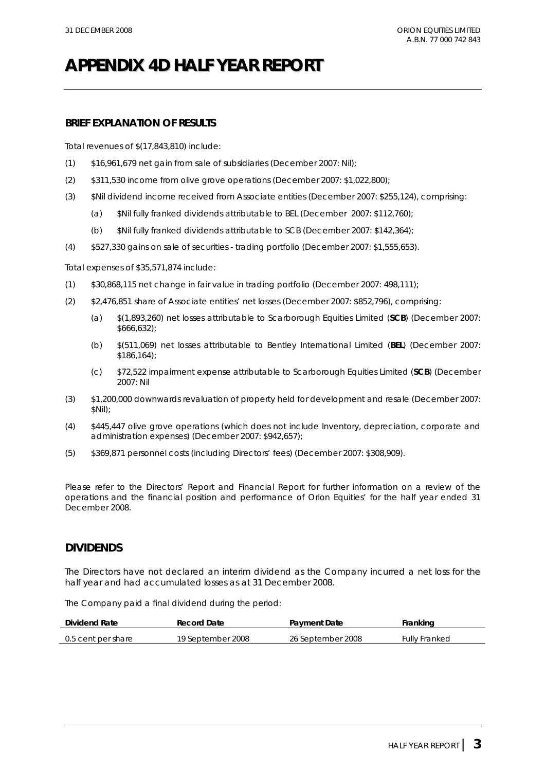# **APPENDIX 4D HALF YEAR REPORT**

#### **BRIEF EXPLANATION OF RESULTS**

Total revenues of \$(17,843,810) include:

- (1) \$16,961,679 net gain from sale of subsidiaries (December 2007: Nil);
- (2) \$311,530 income from olive grove operations (December 2007: \$1,022,800);
- (3) \$Nil dividend income received from Associate entities (December 2007: \$255,124), comprising:
	- (a) \$Nil fully franked dividends attributable to BEL (December 2007: \$112,760);
	- (b) \$Nil fully franked dividends attributable to SCB (December 2007: \$142,364);
- (4) \$527,330 gains on sale of securities trading portfolio (December 2007: \$1,555,653).

Total expenses of \$35,571,874 include:

- (1) \$30,868,115 net change in fair value in trading portfolio (December 2007: 498,111);
- (2) \$2,476,851 share of Associate entities' net losses (December 2007: \$852,796), comprising:
	- (a) \$(1,893,260) net losses attributable to Scarborough Equities Limited (**SCB**) (December 2007: \$666,632);
	- (b) \$(511,069) net losses attributable to Bentley International Limited (**BEL**) (December 2007: \$186,164);
	- (c) \$72,522 impairment expense attributable to Scarborough Equities Limited (**SCB**) (December 2007: Nil
- (3) \$1,200,000 downwards revaluation of property held for development and resale (December 2007: \$Nil);
- (4) \$445,447 olive grove operations (which does not include Inventory, depreciation, corporate and administration expenses) (December 2007: \$942,657);
- (5) \$369,871 personnel costs (including Directors' fees) (December 2007: \$308,909).

Please refer to the Directors' Report and Financial Report for further information on a review of the operations and the financial position and performance of Orion Equities' for the half year ended 31 December 2008.

#### **DIVIDENDS**

The Directors have not declared an interim dividend as the Company incurred a net loss for the half year and had accumulated losses as at 31 December 2008.

The Company paid a final dividend during the period:

| Dividend Rate      | Record Date       | <b>Payment Date</b> | Franking             |
|--------------------|-------------------|---------------------|----------------------|
| 0.5 cent per share | 19 September 2008 | 26 September 2008   | <b>Fully Franked</b> |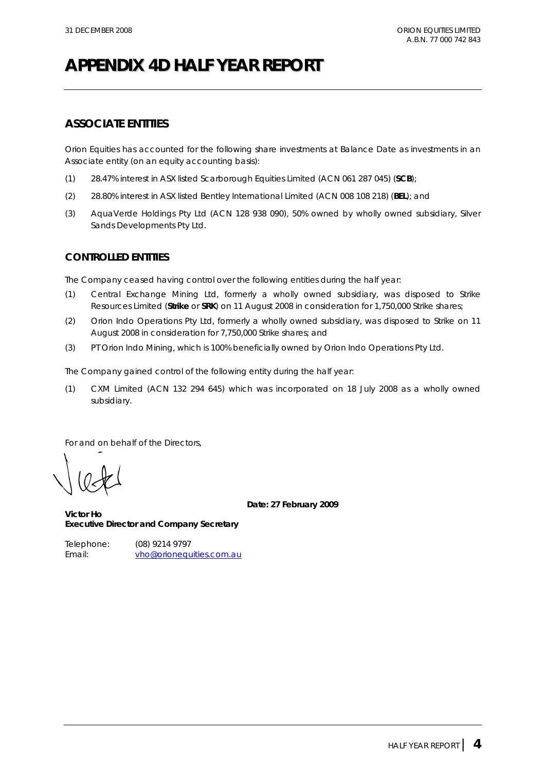# **APPENDIX 4D HALF YEAR REPORT**

#### **ASSOCIATE ENTITIES**

Orion Equities has accounted for the following share investments at Balance Date as investments in an Associate entity (on an equity accounting basis):

- (1) 28.47% interest in ASX listed Scarborough Equities Limited (ACN 061 287 045) (**SCB**);
- (2) 28.80% interest in ASX listed Bentley International Limited (ACN 008 108 218) (**BEL**); and
- (3) AquaVerde Holdings Pty Ltd (ACN 128 938 090), 50% owned by wholly owned subsidiary, Silver Sands Developments Pty Ltd.

#### **CONTROLLED ENTITIES**

The Company ceased having control over the following entities during the half year:

- (1) Central Exchange Mining Ltd, formerly a wholly owned subsidiary, was disposed to Strike Resources Limited (**Strike** or **SRK**) on 11 August 2008 in consideration for 1,750,000 Strike shares;
- (2) Orion Indo Operations Pty Ltd, formerly a wholly owned subsidiary, was disposed to Strike on 11 August 2008 in consideration for 7,750,000 Strike shares; and
- (3) PT Orion Indo Mining, which is 100% beneficially owned by Orion Indo Operations Pty Ltd.

The Company gained control of the following entity during the half year:

(1) CXM Limited (ACN 132 294 645) which was incorporated on 18 July 2008 as a wholly owned subsidiary.

For and on behalf of the Directors,

**Date: 27 February 2009** 

**Victor Ho Executive Director and Company Secretary** 

Telephone: (08) 9214 9797 Email: vho@orionequities.com.au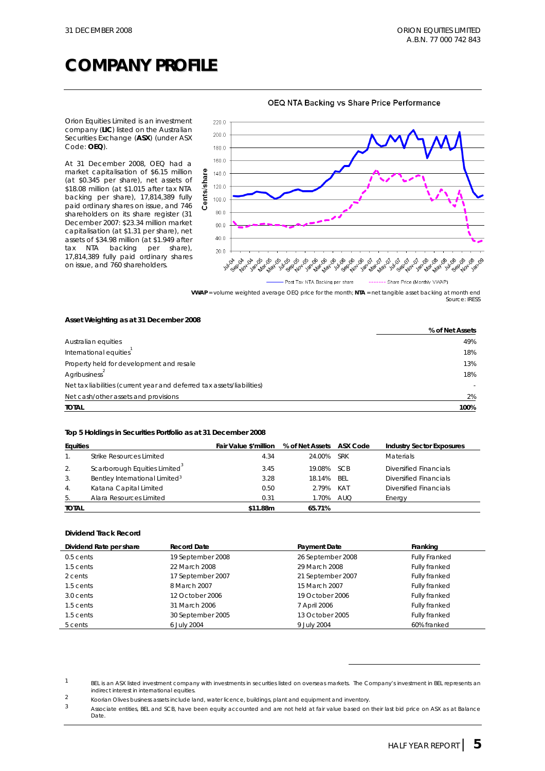## **COMPANY PROFILE**

Orion Equities Limited is an investment company (**LIC**) listed on the Australian Securities Exchange (**ASX**) (under ASX Code: **OEQ**).

At 31 December 2008, OEQ had a market capitalisation of \$6.15 million (at \$0.345 per share), net assets of \$18.08 million (at \$1.015 after tax NTA backing per share), 17,814,389 fully paid ordinary shares on issue, and 746 shareholders on its share register (31 December 2007: \$23.34 million market capitalisation (at \$1.31 per share), net assets of \$34.98 million (at \$1.949 after tax NTA backing per share), 17,814,389 fully paid ordinary shares on issue, and 760 shareholders.



OEQ NTA Backing vs Share Price Performance

**VWAP** = volume weighted average OEQ price for the month; **NTA** = net tangible asset backing at month end *Source: IRESS* 

#### **Asset Weighting as at 31 December 2008**

|                                                                        | % of Net Assets |
|------------------------------------------------------------------------|-----------------|
| Australian equities                                                    | 49%             |
| International equities                                                 | 18%             |
| Property held for development and resale                               | 13%             |
| Agribusiness                                                           | 18%             |
| Net tax liabilities (current year and deferred tax assets/liabilities) |                 |
| Net cash/other assets and provisions                                   | 2%              |
| <b>TOTAL</b>                                                           | 100%            |

#### **Top 5 Holdings in Securities Portfolio as at 31 December 2008**

| <b>Equities</b>  |                                            | Fair Value \$'million | % of Net Assets | ASX Code   | <b>Industry Sector Exposures</b> |
|------------------|--------------------------------------------|-----------------------|-----------------|------------|----------------------------------|
|                  | Strike Resources Limited                   | 4.34                  | 24.00%          | <b>SRK</b> | <b>Materials</b>                 |
| 2.               | Scarborough Equities Limited               | 3.45                  | 19.08%          | <b>SCB</b> | Diversified Financials           |
| 3.               | Bentley International Limited <sup>3</sup> | 3.28                  | 18.14%          | BFI        | Diversified Financials           |
| $\overline{4}$ . | Katana Capital Limited                     | 0.50                  | 2.79%           | KAT        | Diversified Financials           |
| 5.               | Alara Resources Limited                    | 0.31                  | 1.70%           | <b>AUQ</b> | Energy                           |
| <b>TOTAL</b>     |                                            | \$11.88m              | 65.71%          |            |                                  |

#### **Dividend Track Record**

| Dividend Rate per share | <b>Record Date</b> | <b>Payment Date</b> | Franking             |
|-------------------------|--------------------|---------------------|----------------------|
| $0.5$ cents             | 19 September 2008  | 26 September 2008   | <b>Fully Franked</b> |
| 1.5 cents               | 22 March 2008      | 29 March 2008       | Fully franked        |
| 2 cents                 | 17 September 2007  | 21 September 2007   | <b>Fully franked</b> |
| 1.5 cents               | 8 March 2007       | 15 March 2007       | Fully franked        |
| 3.0 cents               | 12 October 2006    | 19 October 2006     | Fully franked        |
| 1.5 cents               | 31 March 2006      | 7 April 2006        | Fully franked        |
| 1.5 cents               | 30 September 2005  | 13 October 2005     | Fully franked        |
| 5 cents                 | 6 July 2004        | 9 July 2004         | 60% franked          |

 $1$  BEL is an ASX listed investment company with investments in securities listed on overseas markets. The Company's investment in BEL represents an indirect interest in international equities

<sup>2&</sup>lt;br>2 Koorian Olives business assets include land, water licence, buildings, plant and equipment and inventory.<br>3 Associate a stille a PEL and CCP, beve been serify accounted and are not beld at fair value beased an

<sup>3</sup> Associate entities, BEL and SCB, have been equity accounted and are not held at fair value based on their last bid price on ASX as at Balance Date.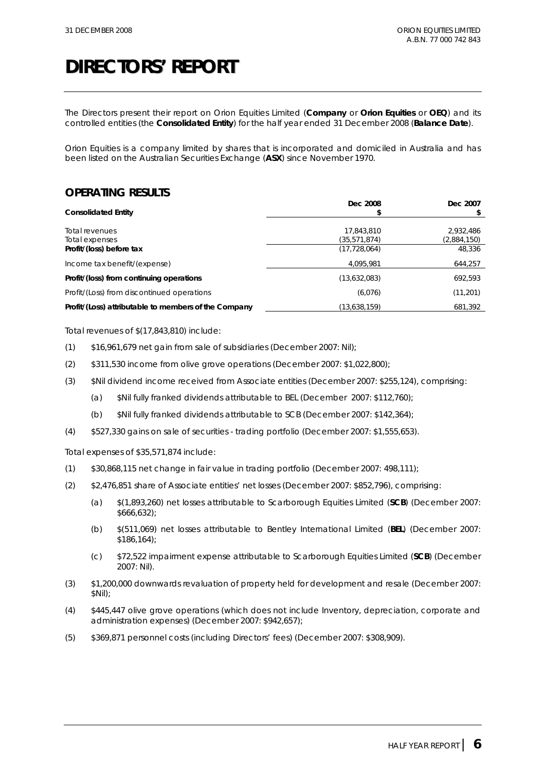The Directors present their report on Orion Equities Limited (**Company** or **Orion Equities** or **OEQ**) and its controlled entities (the **Consolidated Entity**) for the half year ended 31 December 2008 (**Balance Date**).

Orion Equities is a company limited by shares that is incorporated and domiciled in Australia and has been listed on the Australian Securities Exchange (**ASX**) since November 1970.

#### **OPERATING RESULTS**

| <b>Consolidated Entity</b>                           | Dec 2008       | Dec 2007    |
|------------------------------------------------------|----------------|-------------|
|                                                      |                |             |
| Total revenues                                       | 17,843,810     | 2,932,486   |
| Total expenses                                       | (35, 571, 874) | (2,884,150) |
| Profit/(loss) before tax                             | (17, 728, 064) | 48,336      |
| Income tax benefit/(expense)                         | 4.095.981      | 644,257     |
| Profit/(loss) from continuing operations             | (13,632,083)   | 692,593     |
| Profit/(Loss) from discontinued operations           | (6,076)        | (11, 201)   |
| Profit/(Loss) attributable to members of the Company | (13,638,159)   | 681,392     |

Total revenues of \$(17,843,810) include:

- (1) \$16,961,679 net gain from sale of subsidiaries (December 2007: Nil);
- (2) \$311,530 income from olive grove operations (December 2007: \$1,022,800);
- (3) \$Nil dividend income received from Associate entities (December 2007: \$255,124), comprising:
	- (a) \$Nil fully franked dividends attributable to BEL (December 2007: \$112,760);
	- (b) \$Nil fully franked dividends attributable to SCB (December 2007: \$142,364);
- (4) \$527,330 gains on sale of securities trading portfolio (December 2007: \$1,555,653).

Total expenses of \$35,571,874 include:

- (1) \$30,868,115 net change in fair value in trading portfolio (December 2007: 498,111);
- (2) \$2,476,851 share of Associate entities' net losses (December 2007: \$852,796), comprising:
	- (a) \$(1,893,260) net losses attributable to Scarborough Equities Limited (**SCB**) (December 2007: \$666,632);
	- (b) \$(511,069) net losses attributable to Bentley International Limited (**BEL**) (December 2007: \$186,164);
	- (c) \$72,522 impairment expense attributable to Scarborough Equities Limited (**SCB**) (December 2007: Nil).
- (3) \$1,200,000 downwards revaluation of property held for development and resale (December 2007: \$Nil);
- (4) \$445,447 olive grove operations (which does not include Inventory, depreciation, corporate and administration expenses) (December 2007: \$942,657);
- (5) \$369,871 personnel costs (including Directors' fees) (December 2007: \$308,909).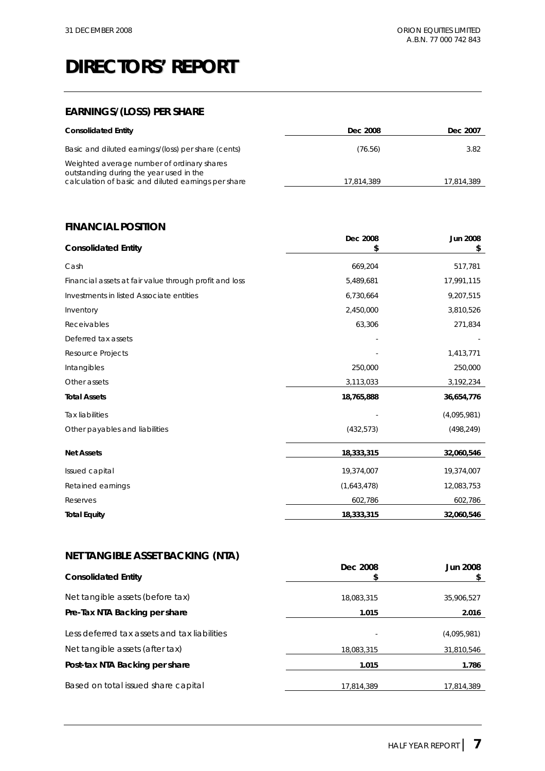### **EARNINGS/(LOSS) PER SHARE**

| <b>Consolidated Entity</b>                                                                                                                   | Dec 2008   | Dec 2007   |
|----------------------------------------------------------------------------------------------------------------------------------------------|------------|------------|
| Basic and diluted earnings/(loss) per share (cents)                                                                                          | (76.56)    | 3.82       |
| Weighted average number of ordinary shares<br>outstanding during the year used in the<br>calculation of basic and diluted earnings per share | 17.814.389 | 17.814.389 |

#### **FINANCIAL POSITION**

| <b>Consolidated Entity</b>                             | Dec 2008    | Jun 2008<br>\$ |
|--------------------------------------------------------|-------------|----------------|
| Cash                                                   | 669,204     | 517,781        |
| Financial assets at fair value through profit and loss | 5,489,681   | 17,991,115     |
| Investments in listed Associate entities               | 6,730,664   | 9,207,515      |
| Inventory                                              | 2,450,000   | 3,810,526      |
| Receivables                                            | 63,306      | 271,834        |
| Deferred tax assets                                    |             |                |
| Resource Projects                                      |             | 1,413,771      |
| Intangibles                                            | 250,000     | 250,000        |
| Other assets                                           | 3,113,033   | 3,192,234      |
| <b>Total Assets</b>                                    | 18,765,888  | 36,654,776     |
| <b>Tax liabilities</b>                                 |             | (4,095,981)    |
| Other payables and liabilities                         | (432, 573)  | (498, 249)     |
| <b>Net Assets</b>                                      | 18,333,315  | 32,060,546     |
| Issued capital                                         | 19,374,007  | 19,374,007     |
| Retained earnings                                      | (1,643,478) | 12,083,753     |
| Reserves                                               | 602,786     | 602,786        |
| <b>Total Equity</b>                                    | 18,333,315  | 32,060,546     |

#### **NET TANGIBLE ASSET BACKING (NTA)**

| <b>Consolidated Entity</b>                   | Dec 2008<br>\$ | <b>Jun 2008</b> |
|----------------------------------------------|----------------|-----------------|
| Net tangible assets (before tax)             | 18.083.315     | 35,906,527      |
| Pre-Tax NTA Backing per share                | 1.015          | 2.016           |
| Less deferred tax assets and tax liabilities |                | (4,095,981)     |
| Net tangible assets (after tax)              | 18,083,315     | 31,810,546      |
| Post-tax NTA Backing per share               | 1.015          | 1.786           |
| Based on total issued share capital          | 17,814,389     | 17,814,389      |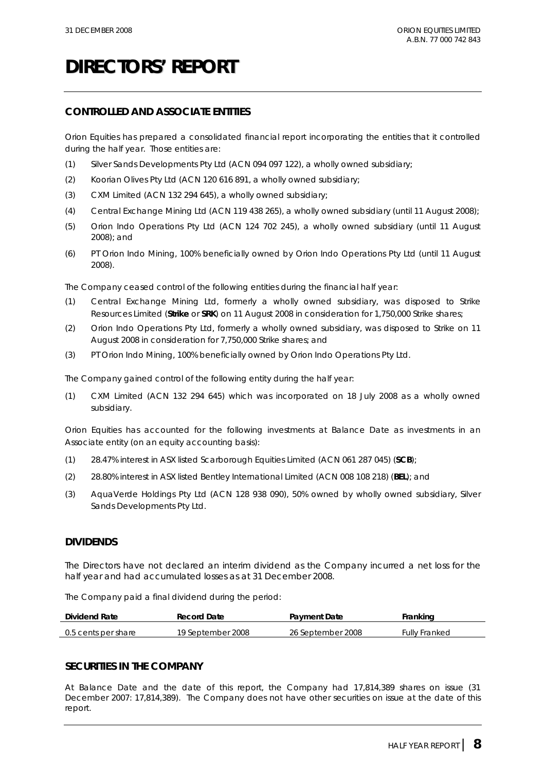#### **CONTROLLED AND ASSOCIATE ENTITIES**

Orion Equities has prepared a consolidated financial report incorporating the entities that it controlled during the half year. Those entities are:

- (1) Silver Sands Developments Pty Ltd (ACN 094 097 122), a wholly owned subsidiary;
- (2) Koorian Olives Pty Ltd (ACN 120 616 891, a wholly owned subsidiary;
- (3) CXM Limited (ACN 132 294 645), a wholly owned subsidiary;
- (4) Central Exchange Mining Ltd (ACN 119 438 265), a wholly owned subsidiary (until 11 August 2008);
- (5) Orion Indo Operations Pty Ltd (ACN 124 702 245), a wholly owned subsidiary (until 11 August 2008); and
- (6) PT Orion Indo Mining, 100% beneficially owned by Orion Indo Operations Pty Ltd (until 11 August 2008).

The Company ceased control of the following entities during the financial half year:

- (1) Central Exchange Mining Ltd, formerly a wholly owned subsidiary, was disposed to Strike Resources Limited (**Strike** or **SRK**) on 11 August 2008 in consideration for 1,750,000 Strike shares;
- (2) Orion Indo Operations Pty Ltd, formerly a wholly owned subsidiary, was disposed to Strike on 11 August 2008 in consideration for 7,750,000 Strike shares; and
- (3) PT Orion Indo Mining, 100% beneficially owned by Orion Indo Operations Pty Ltd.

The Company gained control of the following entity during the half year:

(1) CXM Limited (ACN 132 294 645) which was incorporated on 18 July 2008 as a wholly owned subsidiary.

Orion Equities has accounted for the following investments at Balance Date as investments in an Associate entity (on an equity accounting basis):

- (1) 28.47% interest in ASX listed Scarborough Equities Limited (ACN 061 287 045) (**SCB**);
- (2) 28.80% interest in ASX listed Bentley International Limited (ACN 008 108 218) (**BEL**); and
- (3) AquaVerde Holdings Pty Ltd (ACN 128 938 090), 50% owned by wholly owned subsidiary, Silver Sands Developments Pty Ltd.

#### **DIVIDENDS**

The Directors have not declared an interim dividend as the Company incurred a net loss for the half year and had accumulated losses as at 31 December 2008.

The Company paid a final dividend during the period:

| <b>Dividend Rate</b> | Record Date       | <b>Payment Date</b> | ™rankinɑ      |
|----------------------|-------------------|---------------------|---------------|
| 0.5 cents per share  | 19 September 2008 | 26 September 2008   | Fullv Franked |

#### **SECURITIES IN THE COMPANY**

At Balance Date and the date of this report, the Company had 17,814,389 shares on issue (31 December 2007: 17,814,389). The Company does not have other securities on issue at the date of this report.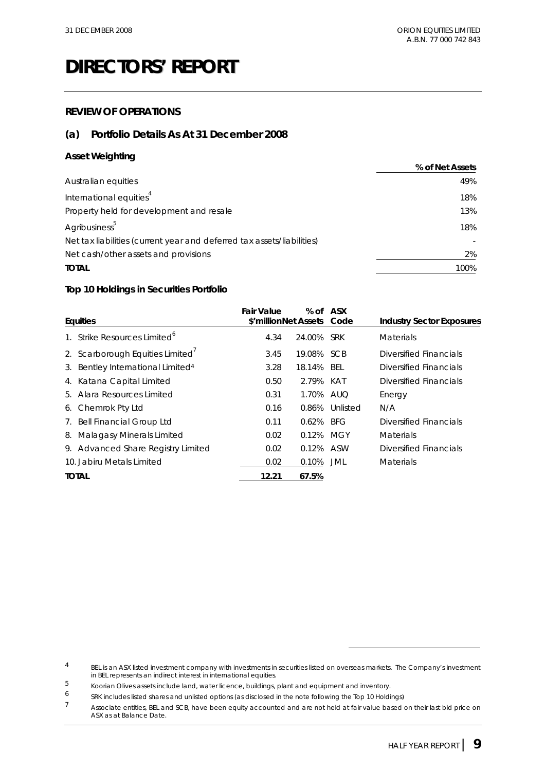#### **REVIEW OF OPERATIONS**

#### **(a) Portfolio Details As At 31 December 2008**

#### **Asset Weighting**

|                                                                        | % of Net Assets |
|------------------------------------------------------------------------|-----------------|
| Australian equities                                                    | 49%             |
| International equities <sup>4</sup>                                    | 18%             |
| Property held for development and resale                               | 13%             |
| Agribusiness <sup>5</sup>                                              | 18%             |
| Net tax liabilities (current year and deferred tax assets/liabilities) |                 |
| Net cash/other assets and provisions                                   | 2%              |
| <b>TOTAL</b>                                                           | 100%            |

#### **Top 10 Holdings in Securities Portfolio**

|    | <b>Equities</b>                               | Fair Value<br>\$'millionNet Assets Code | % of         | <b>ASX</b>     | <b>Industry Sector Exposures</b> |
|----|-----------------------------------------------|-----------------------------------------|--------------|----------------|----------------------------------|
|    |                                               |                                         |              |                |                                  |
|    | Strike Resources Limited <sup>°</sup>         | 4.34                                    | 24.00% SRK   |                | <b>Materials</b>                 |
|    | 2. Scarborough Equities Limited               | 3.45                                    | 19.08% SCB   |                | Diversified Financials           |
|    | 3. Bentley International Limited <sup>4</sup> | 3.28                                    | 18.14%       | BEL            | Diversified Financials           |
|    | 4. Katana Capital Limited                     | 0.50                                    | 2.79%        | KAT            | Diversified Financials           |
|    | 5. Alara Resources Limited                    | 0.31                                    | 1.70% AUO    |                | Energy                           |
|    | 6. Chemrok Pty Ltd                            | 0.16                                    |              | 0.86% Unlisted | N/A                              |
|    | 7. Bell Financial Group Ltd                   | 0.11                                    | $0.62\%$ BFG |                | Diversified Financials           |
| 8. | <b>Malagasy Minerals Limited</b>              | 0.02                                    | 0.12%        | MGY            | <b>Materials</b>                 |
|    | 9. Advanced Share Registry Limited            | 0.02                                    | 0.12% ASW    |                | Diversified Financials           |
|    | 10. Jabiru Metals Limited                     | 0.02                                    | 0.10%        | JML            | <b>Materials</b>                 |
|    | <b>TOTAL</b>                                  | 12.21                                   | 67.5%        |                |                                  |

<sup>&</sup>lt;sup>4</sup> BEL is an ASX listed investment company with investments in securities listed on overseas markets. The Company's investment in BEL represents an indirect interest in international equities.

<sup>5</sup> Koorian Olives assets include land, water licence, buildings, plant and equipment and inventory.<br>6 Spy includes listed shares and unlisted ontions (as disclosed in the note following the Ion 10 Holdi

<sup>6</sup> SRK includes listed shares and unlisted options (as disclosed in the note following the Top 10 Holdings)

Associate entities, BEL and SCB, have been equity accounted and are not held at fair value based on their last bid price on ASX as at Balance Date.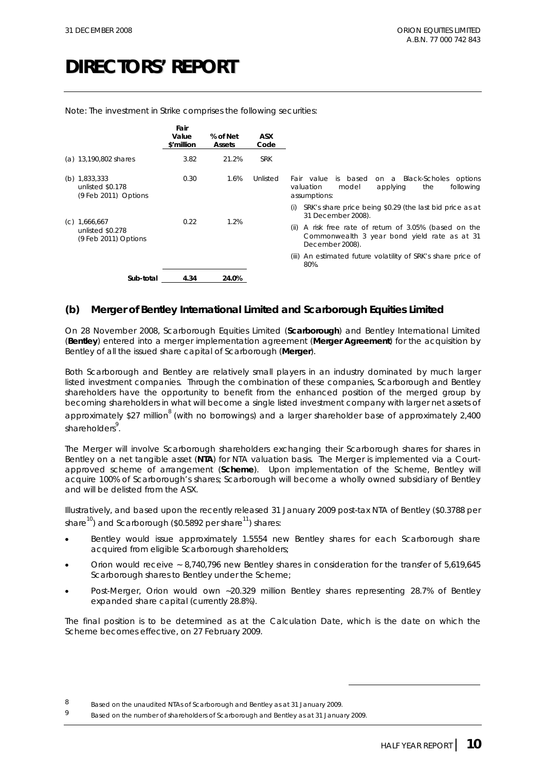|                                                               | Fair<br>Value<br>\$'million | % of Net<br>Assets | <b>ASX</b><br>Code |                                                                                                                               |
|---------------------------------------------------------------|-----------------------------|--------------------|--------------------|-------------------------------------------------------------------------------------------------------------------------------|
| (a) 13,190,802 shares                                         | 3.82                        | 21.2%              | <b>SRK</b>         |                                                                                                                               |
| (b) $1,833,333$<br>unlisted \$0.178<br>$(9$ Feb 2011) Options | 0.30                        | 1.6%               | Unlisted           | on a Black-Scholes<br>Fair value<br>is based<br>options<br>following<br>valuation<br>model<br>the<br>applying<br>assumptions: |
|                                                               |                             |                    |                    | SRK's share price being \$0.29 (the last bid price as at<br>(i)<br>31 December 2008).                                         |
| $(C)$ 1,666,667<br>unlisted \$0.278<br>(9 Feb 2011) Options   | 0.22                        | 1.2%               |                    | A risk free rate of return of 3.05% (based on the<br>(ii)<br>Commonwealth 3 year bond yield rate as at 31<br>December 2008).  |
|                                                               |                             |                    |                    | (iii) An estimated future volatility of SRK's share price of<br>80%.                                                          |
| Sub-total                                                     | 4.34                        | 24.0%              |                    |                                                                                                                               |

Note: The investment in Strike comprises the following securities:

#### **(b) Merger of Bentley International Limited and Scarborough Equities Limited**

On 28 November 2008, Scarborough Equities Limited (**Scarborough**) and Bentley International Limited (**Bentley**) entered into a merger implementation agreement (**Merger Agreement**) for the acquisition by Bentley of all the issued share capital of Scarborough (**Merger**).

Both Scarborough and Bentley are relatively small players in an industry dominated by much larger listed investment companies. Through the combination of these companies, Scarborough and Bentley shareholders have the opportunity to benefit from the enhanced position of the merged group by becoming shareholders in what will become a single listed investment company with larger net assets of approximately \$27 million<sup>8</sup> (with no borrowings) and a larger shareholder base of approximately 2,400 shareholders<sup>9</sup>.

The Merger will involve Scarborough shareholders exchanging their Scarborough shares for shares in Bentley on a net tangible asset (**NTA**) for NTA valuation basis. The Merger is implemented via a Courtapproved scheme of arrangement (**Scheme**). Upon implementation of the Scheme, Bentley will acquire 100% of Scarborough's shares; Scarborough will become a wholly owned subsidiary of Bentley and will be delisted from the ASX.

Illustratively, and based upon the recently released 31 January 2009 post-tax NTA of Bentley (\$0.3788 per share<sup>10</sup>) and Scarborough (\$0.5892 per share<sup>11</sup>) shares:

- Bentley would issue approximately 1.5554 new Bentley shares for each Scarborough share acquired from eligible Scarborough shareholders;
- Orion would receive ~ 8,740,796 new Bentley shares in consideration for the transfer of 5,619,645 Scarborough shares to Bentley under the Scheme;
- Post-Merger, Orion would own ~20.329 million Bentley shares representing 28.7% of Bentley expanded share capital (currently 28.8%).

The final position is to be determined as at the Calculation Date, which is the date on which the Scheme becomes effective, on 27 February 2009.

<sup>8</sup> Based on the unaudited NTAs of Scarborough and Bentley as at 31 January 2009.

<sup>9</sup> Based on the number of shareholders of Scarborough and Bentley as at 31 January 2009.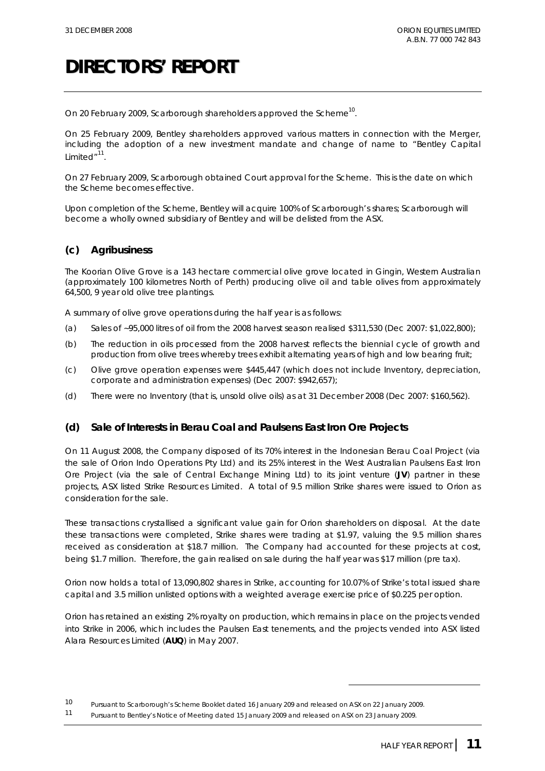On 20 February 2009, Scarborough shareholders approved the Scheme<sup>10</sup>.

On 25 February 2009, Bentley shareholders approved various matters in connection with the Merger, including the adoption of a new investment mandate and change of name to "Bentley Capital Limited"<sup>11</sup>

On 27 February 2009, Scarborough obtained Court approval for the Scheme. This is the date on which the Scheme becomes effective.

Upon completion of the Scheme, Bentley will acquire 100% of Scarborough's shares; Scarborough will become a wholly owned subsidiary of Bentley and will be delisted from the ASX.

#### **(c) Agribusiness**

The Koorian Olive Grove is a 143 hectare commercial olive grove located in Gingin, Western Australian (approximately 100 kilometres North of Perth) producing olive oil and table olives from approximately 64,500, 9 year old olive tree plantings.

A summary of olive grove operations during the half year is as follows:

- (a) Sales of ~95,000 litres of oil from the 2008 harvest season realised \$311,530 (Dec 2007: \$1,022,800);
- (b) The reduction in oils processed from the 2008 harvest reflects the biennial cycle of growth and production from olive trees whereby trees exhibit alternating years of high and low bearing fruit;
- (c) Olive grove operation expenses were \$445,447 (which does not include Inventory, depreciation, corporate and administration expenses) (Dec 2007: \$942,657);
- (d) There were no Inventory (that is, unsold olive oils) as at 31 December 2008 (Dec 2007: \$160,562).

#### **(d) Sale of Interests in Berau Coal and Paulsens East Iron Ore Projects**

On 11 August 2008, the Company disposed of its 70% interest in the Indonesian Berau Coal Project (via the sale of Orion Indo Operations Pty Ltd) and its 25% interest in the West Australian Paulsens East Iron Ore Project (via the sale of Central Exchange Mining Ltd) to its joint venture (**JV**) partner in these projects, ASX listed Strike Resources Limited. A total of 9.5 million Strike shares were issued to Orion as consideration for the sale.

These transactions crystallised a significant value gain for Orion shareholders on disposal. At the date these transactions were completed, Strike shares were trading at \$1.97, valuing the 9.5 million shares received as consideration at \$18.7 million. The Company had accounted for these projects at cost, being \$1.7 million. Therefore, the gain realised on sale during the half year was \$17 million (pre tax).

Orion now holds a total of 13,090,802 shares in Strike, accounting for 10.07% of Strike's total issued share capital and 3.5 million unlisted options with a weighted average exercise price of \$0.225 per option.

Orion has retained an existing 2% royalty on production, which remains in place on the projects vended into Strike in 2006, which includes the Paulsen East tenements, and the projects vended into ASX listed Alara Resources Limited (**AUQ**) in May 2007.

<sup>10</sup> Pursuant to Scarborough's Scheme Booklet dated 16 January 209 and released on ASX on 22 January 2009.

<sup>11</sup> Pursuant to Bentley's Notice of Meeting dated 15 January 2009 and released on ASX on 23 January 2009.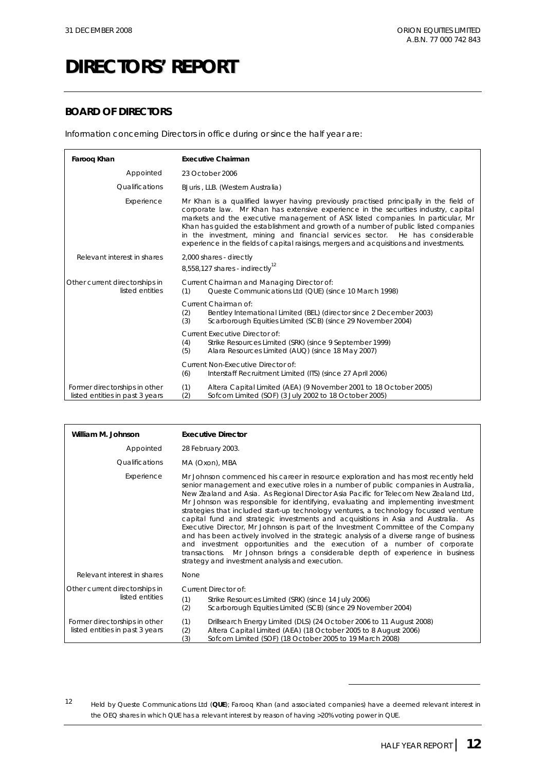#### **BOARD OF DIRECTORS**

Information concerning Directors in office during or since the half year are:

| Farooq Khan                                                      | <b>Executive Chairman</b>                                                                                                                                                                                                                                                                                                                                                                                                                                                                                                         |
|------------------------------------------------------------------|-----------------------------------------------------------------------------------------------------------------------------------------------------------------------------------------------------------------------------------------------------------------------------------------------------------------------------------------------------------------------------------------------------------------------------------------------------------------------------------------------------------------------------------|
| Appointed                                                        | 23 October 2006                                                                                                                                                                                                                                                                                                                                                                                                                                                                                                                   |
| <i><u><b>Oualifications</b></u></i>                              | BJuris, LLB. (Western Australia)                                                                                                                                                                                                                                                                                                                                                                                                                                                                                                  |
| Experience                                                       | Mr Khan is a qualified lawyer having previously practised principally in the field of<br>corporate law. Mr Khan has extensive experience in the securities industry, capital<br>markets and the executive management of ASX listed companies. In particular, Mr<br>Khan has quided the establishment and growth of a number of public listed companies<br>in the investment, mining and financial services sector. He has considerable<br>experience in the fields of capital raisings, mergers and acquisitions and investments. |
| Relevant interest in shares                                      | 2,000 shares - directly<br>8,558,127 shares - indirectly <sup>12</sup>                                                                                                                                                                                                                                                                                                                                                                                                                                                            |
| Other current directorships in<br>listed entities                | Current Chairman and Managing Director of:<br>Queste Communications Ltd (QUE) (since 10 March 1998)<br>(1)                                                                                                                                                                                                                                                                                                                                                                                                                        |
|                                                                  | Current Chairman of:<br>Bentley International Limited (BEL) (director since 2 December 2003)<br>(2)<br>Scarborough Equities Limited (SCB) (since 29 November 2004)<br>(3)                                                                                                                                                                                                                                                                                                                                                         |
|                                                                  | Current Executive Director of:<br>(4)<br>Strike Resources Limited (SRK) (since 9 September 1999)<br>(5)<br>Alara Resources Limited (AUQ) (since 18 May 2007)                                                                                                                                                                                                                                                                                                                                                                      |
|                                                                  | Current Non-Executive Director of:<br>(6)<br>Interstaff Recruitment Limited (ITS) (since 27 April 2006)                                                                                                                                                                                                                                                                                                                                                                                                                           |
| Former directorships in other<br>listed entities in past 3 years | (1)<br>Altera Capital Limited (AEA) (9 November 2001 to 18 October 2005)<br>(2)<br>Sofcom Limited (SOF) (3 July 2002 to 18 October 2005)                                                                                                                                                                                                                                                                                                                                                                                          |

| William M. Johnson                                               | <b>Executive Director</b>                                                                                                                                                                                                                                                                                                                                                                                                                                                                                                                                                                                                                                                                                                                                                                                                                                                                                                            |  |  |
|------------------------------------------------------------------|--------------------------------------------------------------------------------------------------------------------------------------------------------------------------------------------------------------------------------------------------------------------------------------------------------------------------------------------------------------------------------------------------------------------------------------------------------------------------------------------------------------------------------------------------------------------------------------------------------------------------------------------------------------------------------------------------------------------------------------------------------------------------------------------------------------------------------------------------------------------------------------------------------------------------------------|--|--|
| Appointed                                                        | 28 February 2003.                                                                                                                                                                                                                                                                                                                                                                                                                                                                                                                                                                                                                                                                                                                                                                                                                                                                                                                    |  |  |
| Qualifications                                                   | MA (Oxon), MBA                                                                                                                                                                                                                                                                                                                                                                                                                                                                                                                                                                                                                                                                                                                                                                                                                                                                                                                       |  |  |
| Experience                                                       | Mr Johnson commenced his career in resource exploration and has most recently held<br>senior management and executive roles in a number of public companies in Australia,<br>New Zealand and Asia. As Regional Director Asia Pacific for Telecom New Zealand Ltd,<br>Mr Johnson was responsible for identifying, evaluating and implementing investment<br>strategies that included start-up technology ventures, a technology focussed venture<br>capital fund and strategic investments and acquisitions in Asia and Australia. As<br>Executive Director, Mr Johnson is part of the Investment Committee of the Company<br>and has been actively involved in the strategic analysis of a diverse range of business<br>and investment opportunities and the execution of a number of corporate<br>transactions. Mr Johnson brings a considerable depth of experience in business<br>strategy and investment analysis and execution. |  |  |
| Relevant interest in shares                                      | None                                                                                                                                                                                                                                                                                                                                                                                                                                                                                                                                                                                                                                                                                                                                                                                                                                                                                                                                 |  |  |
| Other current directorships in<br>listed entities                | Current Director of:<br>(1)<br>Strike Resources Limited (SRK) (since 14 July 2006)<br>Scarborough Equities Limited (SCB) (since 29 November 2004)<br>(2)                                                                                                                                                                                                                                                                                                                                                                                                                                                                                                                                                                                                                                                                                                                                                                             |  |  |
| Former directorships in other<br>listed entities in past 3 years | Drillsearch Energy Limited (DLS) (24 October 2006 to 11 August 2008)<br>(1)<br>(2)<br>Altera Capital Limited (AEA) (18 October 2005 to 8 August 2006)<br>(3)<br>Sofcom Limited (SOF) (18 October 2005 to 19 March 2008)                                                                                                                                                                                                                                                                                                                                                                                                                                                                                                                                                                                                                                                                                                              |  |  |

12 Held by Queste Communications Ltd (**QUE**); Farooq Khan (and associated companies) have a deemed relevant interest in the OEQ shares in which QUE has a relevant interest by reason of having >20% voting power in QUE.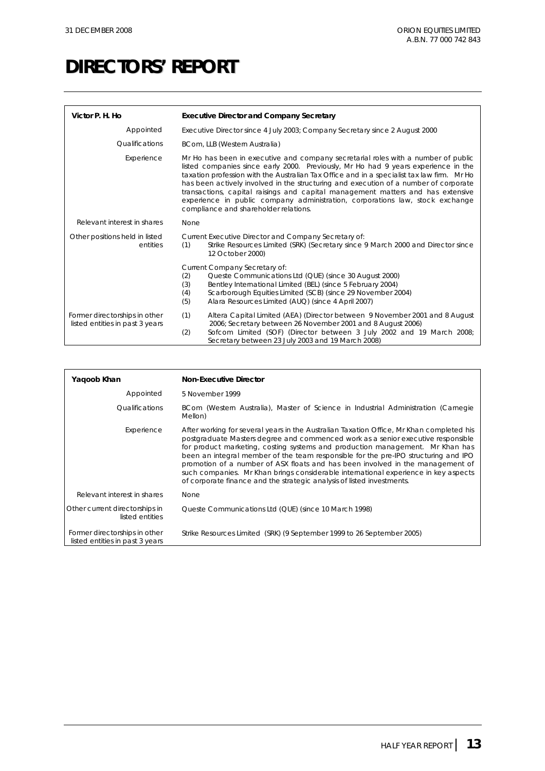| Victor P. H. Ho                                                  | <b>Executive Director and Company Secretary</b>                                                                                                                                                                                                                                                                                                                                                                                                                                                                                                                            |  |
|------------------------------------------------------------------|----------------------------------------------------------------------------------------------------------------------------------------------------------------------------------------------------------------------------------------------------------------------------------------------------------------------------------------------------------------------------------------------------------------------------------------------------------------------------------------------------------------------------------------------------------------------------|--|
| Appointed                                                        | Executive Director since 4 July 2003; Company Secretary since 2 August 2000                                                                                                                                                                                                                                                                                                                                                                                                                                                                                                |  |
| Qualifications                                                   | BCom, LLB (Western Australia)                                                                                                                                                                                                                                                                                                                                                                                                                                                                                                                                              |  |
| Experience                                                       | Mr Ho has been in executive and company secretarial roles with a number of public<br>listed companies since early 2000. Previously, Mr Ho had 9 years experience in the<br>taxation profession with the Australian Tax Office and in a specialist tax law firm. Mr Ho<br>has been actively involved in the structuring and execution of a number of corporate<br>transactions, capital raisings and capital management matters and has extensive<br>experience in public company administration, corporations law, stock exchange<br>compliance and shareholder relations. |  |
| Relevant interest in shares                                      | None                                                                                                                                                                                                                                                                                                                                                                                                                                                                                                                                                                       |  |
| Other positions held in listed<br>entities                       | Current Executive Director and Company Secretary of:<br>Strike Resources Limited (SRK) (Secretary since 9 March 2000 and Director since<br>(1)<br>12 October 2000)                                                                                                                                                                                                                                                                                                                                                                                                         |  |
|                                                                  | Current Company Secretary of:<br>Queste Communications Ltd (QUE) (since 30 August 2000)<br>(2)<br>Bentley International Limited (BEL) (since 5 February 2004)<br>(3)<br>Scarborough Equities Limited (SCB) (since 29 November 2004)<br>(4)<br>(5)<br>Alara Resources Limited (AUQ) (since 4 April 2007)                                                                                                                                                                                                                                                                    |  |
| Former directorships in other<br>listed entities in past 3 years | (1)<br>Altera Capital Limited (AEA) (Director between 9 November 2001 and 8 August<br>2006; Secretary between 26 November 2001 and 8 August 2006)<br>Sofcom Limited (SOF) (Director between 3 July 2002 and 19 March 2008;<br>(2)<br>Secretary between 23 July 2003 and 19 March 2008)                                                                                                                                                                                                                                                                                     |  |

| Yaqoob Khan                                                      | <b>Non-Executive Director</b>                                                                                                                                                                                                                                                                                                                                                                                                                                                                                                                                                                           |
|------------------------------------------------------------------|---------------------------------------------------------------------------------------------------------------------------------------------------------------------------------------------------------------------------------------------------------------------------------------------------------------------------------------------------------------------------------------------------------------------------------------------------------------------------------------------------------------------------------------------------------------------------------------------------------|
| Appointed                                                        | 5 November 1999                                                                                                                                                                                                                                                                                                                                                                                                                                                                                                                                                                                         |
| Qualifications                                                   | BCom (Western Australia), Master of Science in Industrial Administration (Carnegie<br>Mellon)                                                                                                                                                                                                                                                                                                                                                                                                                                                                                                           |
| Experience                                                       | After working for several years in the Australian Taxation Office, Mr Khan completed his<br>postgraduate Masters degree and commenced work as a senior executive responsible<br>for product marketing, costing systems and production management. Mr Khan has<br>been an integral member of the team responsible for the pre-IPO structuring and IPO<br>promotion of a number of ASX floats and has been involved in the management of<br>such companies. Mr Khan brings considerable international experience in key aspects<br>of corporate finance and the strategic analysis of listed investments. |
| Relevant interest in shares                                      | None                                                                                                                                                                                                                                                                                                                                                                                                                                                                                                                                                                                                    |
| Other current directorships in<br>listed entities                | Queste Communications Ltd (QUE) (since 10 March 1998)                                                                                                                                                                                                                                                                                                                                                                                                                                                                                                                                                   |
| Former directorships in other<br>listed entities in past 3 years | Strike Resources Limited (SRK) (9 September 1999 to 26 September 2005)                                                                                                                                                                                                                                                                                                                                                                                                                                                                                                                                  |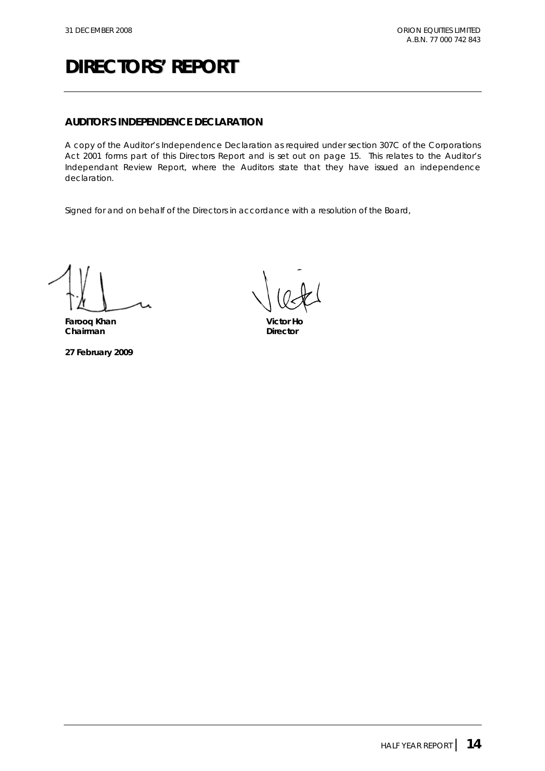#### **AUDITOR'S INDEPENDENCE DECLARATION**

A copy of the Auditor's Independence Declaration as required under section 307C of the *Corporations Act 2001* forms part of this Directors Report and is set out on page 15. This relates to the Auditor's Independant Review Report, where the Auditors state that they have issued an independence declaration.

Signed for and on behalf of the Directors in accordance with a resolution of the Board,

**Farooq Khan Victor Ho Chairman** Director

**27 February 2009**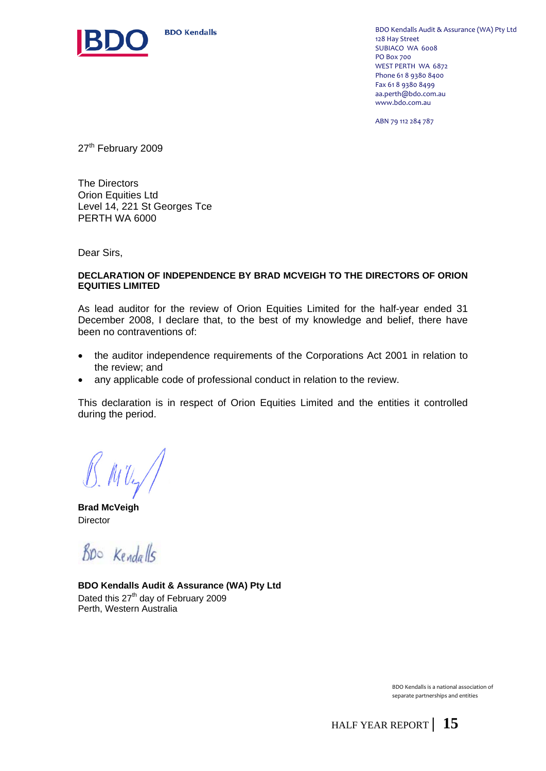

**BDO Kendalls** 

BDO Kendalls Audit & Assurance (WA) Pty Ltd 128 Hay Street SUBIACO WA 6008 PO Box 700 WEST PERTH WA 6872 Phone 61 8 9380 8400 Fax 61 8 9380 8499 aa.perth@bdo.com.au www.bdo.com.au

ABN 79 112 284 787

27<sup>th</sup> February 2009

The Directors Orion Equities Ltd Level 14, 221 St Georges Tce PERTH WA 6000

Dear Sirs,

#### **DECLARATION OF INDEPENDENCE BY BRAD MCVEIGH TO THE DIRECTORS OF ORION EQUITIES LIMITED**

As lead auditor for the review of Orion Equities Limited for the half-year ended 31 December 2008, I declare that, to the best of my knowledge and belief, there have been no contraventions of:

- the auditor independence requirements of the Corporations Act 2001 in relation to the review; and
- any applicable code of professional conduct in relation to the review.

This declaration is in respect of Orion Equities Limited and the entities it controlled during the period.

 $MU_2/$ 

**Brad McVeigh Director** 

Bpo Kendalls

**BDO Kendalls Audit & Assurance (WA) Pty Ltd**  Dated this 27<sup>th</sup> day of February 2009 Perth, Western Australia

> BDO Kendalls is a national association of separate partnerships and entities

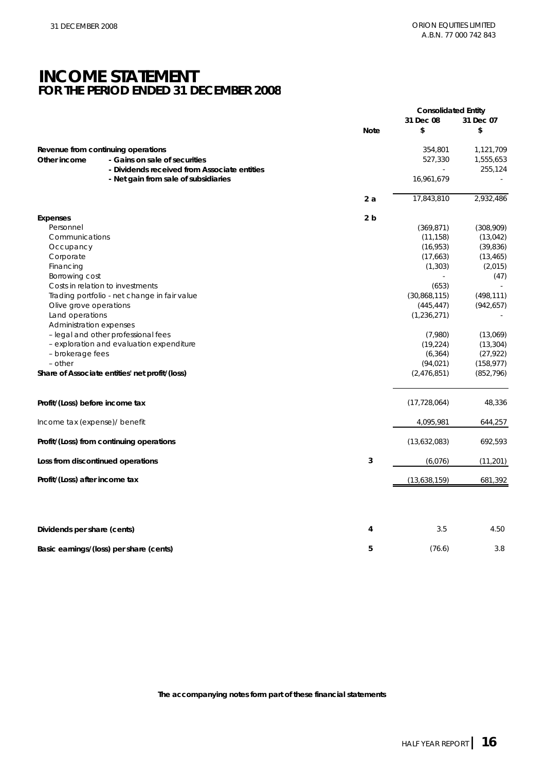### **INCOME STATEMENT FOR THE PERIOD ENDED 31 DECEMBER 2008**

|                                                                                                                                     |                                                | <b>Consolidated Entity</b> |                    |                                   |
|-------------------------------------------------------------------------------------------------------------------------------------|------------------------------------------------|----------------------------|--------------------|-----------------------------------|
|                                                                                                                                     |                                                | <b>Note</b>                | 31 Dec 08<br>\$    | 31 Dec 07<br>\$                   |
| Revenue from continuing operations<br>- Gains on sale of securities<br>Other income<br>- Dividends received from Associate entities |                                                |                            | 354,801<br>527,330 | 1,121,709<br>1,555,653<br>255,124 |
|                                                                                                                                     | - Net gain from sale of subsidiaries           |                            | 16,961,679         |                                   |
|                                                                                                                                     |                                                | 2a                         | 17,843,810         | 2,932,486                         |
| <b>Expenses</b>                                                                                                                     |                                                | 2 <sub>b</sub>             |                    |                                   |
| Personnel                                                                                                                           |                                                |                            | (369, 871)         | (308,909)                         |
| Communications                                                                                                                      |                                                |                            | (11, 158)          | (13, 042)                         |
| Occupancy                                                                                                                           |                                                |                            | (16, 953)          | (39, 836)                         |
| Corporate                                                                                                                           |                                                |                            | (17,663)           | (13, 465)                         |
| Financing                                                                                                                           |                                                |                            | (1, 303)           | (2,015)                           |
| Borrowing cost                                                                                                                      |                                                |                            |                    | (47)                              |
|                                                                                                                                     | Costs in relation to investments               |                            | (653)              |                                   |
|                                                                                                                                     | Trading portfolio - net change in fair value   |                            | (30,868,115)       | (498, 111)                        |
| Olive grove operations                                                                                                              |                                                |                            | (445, 447)         | (942, 657)                        |
| Land operations                                                                                                                     |                                                |                            | (1, 236, 271)      |                                   |
| Administration expenses                                                                                                             |                                                |                            |                    |                                   |
|                                                                                                                                     | - legal and other professional fees            |                            | (7,980)            | (13,069)                          |
|                                                                                                                                     | - exploration and evaluation expenditure       |                            | (19, 224)          | (13, 304)                         |
| - brokerage fees                                                                                                                    |                                                |                            | (6, 364)           | (27, 922)                         |
| $-$ other                                                                                                                           |                                                |                            | (94, 021)          | (158, 977)                        |
|                                                                                                                                     | Share of Associate entities' net profit/(loss) |                            | (2,476,851)        | (852, 796)                        |
| Profit/(Loss) before income tax                                                                                                     |                                                |                            | (17, 728, 064)     | 48,336                            |
| Income tax (expense)/ benefit                                                                                                       |                                                |                            | 4,095,981          | 644,257                           |
|                                                                                                                                     | Profit/(Loss) from continuing operations       |                            | (13,632,083)       | 692,593                           |
|                                                                                                                                     | Loss from discontinued operations              | 3                          | (6,076)            | (11, 201)                         |
| Profit/(Loss) after income tax                                                                                                      |                                                |                            | (13,638,159)       | 681,392                           |
|                                                                                                                                     |                                                |                            |                    |                                   |
| Dividends per share (cents)                                                                                                         |                                                | 4                          | 3.5                | 4.50                              |
|                                                                                                                                     | Basic earnings/(loss) per share (cents)        | 5                          | (76.6)             | 3.8                               |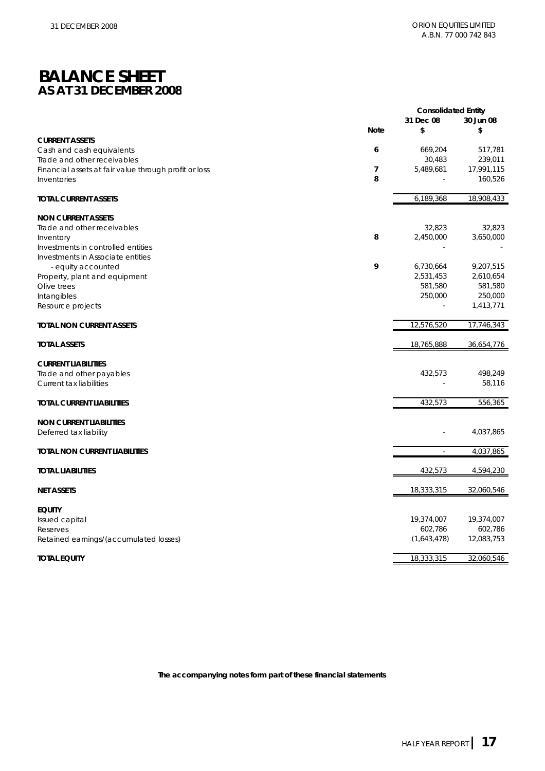### **BALANCE SHEET AS AT 31 DECEMBER 2008**

|                                                       | <b>Consolidated Entity</b> |             |            |  |
|-------------------------------------------------------|----------------------------|-------------|------------|--|
|                                                       |                            | 31 Dec 08   | 30 Jun 08  |  |
|                                                       | <b>Note</b>                | \$          | \$         |  |
| <b>CURRENT ASSETS</b>                                 |                            |             |            |  |
| Cash and cash equivalents                             | 6                          | 669,204     | 517,781    |  |
| Trade and other receivables                           |                            | 30,483      | 239,011    |  |
| Financial assets at fair value through profit or loss | $\overline{\phantom{a}}$   | 5,489,681   | 17,991,115 |  |
| Inventories                                           | 8                          |             | 160,526    |  |
|                                                       |                            |             |            |  |
| <b>TOTAL CURRENT ASSETS</b>                           |                            | 6,189,368   | 18,908,433 |  |
|                                                       |                            |             |            |  |
| <b>NON CURRENT ASSETS</b>                             |                            |             |            |  |
| Trade and other receivables                           |                            | 32,823      | 32,823     |  |
| Inventory                                             | 8                          | 2,450,000   | 3,650,000  |  |
| Investments in controlled entities                    |                            |             |            |  |
| Investments in Associate entities                     |                            |             |            |  |
| - equity accounted                                    | 9                          | 6,730,664   | 9,207,515  |  |
| Property, plant and equipment                         |                            | 2,531,453   | 2,610,654  |  |
| Olive trees                                           |                            | 581,580     | 581,580    |  |
| Intangibles                                           |                            | 250,000     | 250,000    |  |
| Resource projects                                     |                            | L.          | 1,413,771  |  |
|                                                       |                            |             |            |  |
| <b>TOTAL NON CURRENT ASSETS</b>                       |                            | 12,576,520  | 17,746,343 |  |
| <b>TOTAL ASSETS</b>                                   |                            | 18,765,888  | 36,654,776 |  |
| <b>CURRENT LIABILITIES</b>                            |                            |             |            |  |
| Trade and other payables                              |                            | 432,573     | 498,249    |  |
| Current tax liabilities                               |                            |             | 58,116     |  |
|                                                       |                            |             |            |  |
| <b>TOTAL CURRENT LIABILITIES</b>                      |                            | 432,573     | 556,365    |  |
| <b>NON CURRENT LIABILITIES</b>                        |                            |             |            |  |
| Deferred tax liability                                |                            |             | 4,037,865  |  |
|                                                       |                            |             |            |  |
| <b>TOTAL NON CURRENT LIABILITIES</b>                  |                            | $\sim$      | 4,037,865  |  |
| <b>TOTAL LIABILITIES</b>                              |                            | 432,573     | 4,594,230  |  |
|                                                       |                            |             |            |  |
| <b>NET ASSETS</b>                                     |                            | 18,333,315  | 32,060,546 |  |
| <b>EQUITY</b>                                         |                            |             |            |  |
| Issued capital                                        |                            | 19,374,007  | 19,374,007 |  |
| Reserves                                              |                            | 602,786     | 602,786    |  |
| Retained earnings/(accumulated losses)                |                            | (1,643,478) | 12,083,753 |  |
|                                                       |                            | 18,333,315  | 32,060,546 |  |
| <b>TOTAL EQUITY</b>                                   |                            |             |            |  |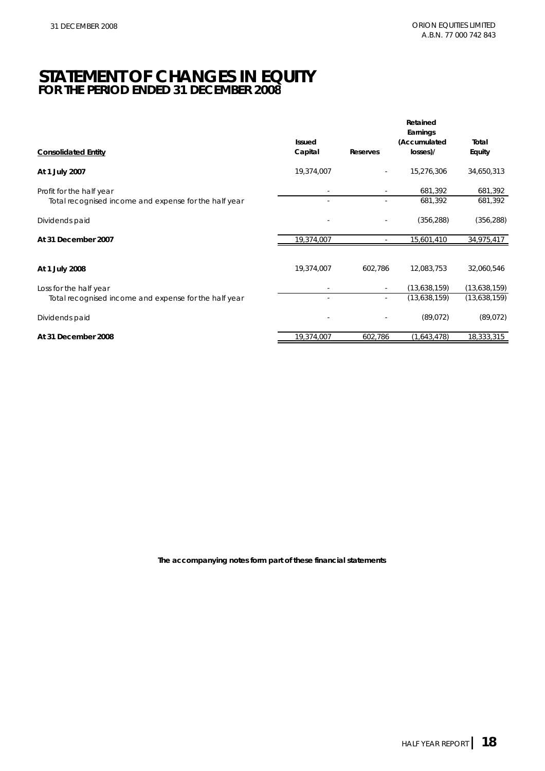### **STATEMENT OF CHANGES IN EQUITY FOR THE PERIOD ENDED 31 DECEMBER 2008**

|                                                       |                   |                          | Retained<br>Earnings     |                 |
|-------------------------------------------------------|-------------------|--------------------------|--------------------------|-----------------|
| <b>Consolidated Entity</b>                            | Issued<br>Capital | Reserves                 | (Accumulated<br>losses)/ | Total<br>Equity |
|                                                       |                   |                          |                          |                 |
| At 1 July 2007                                        | 19,374,007        | $\sim$                   | 15,276,306               | 34,650,313      |
| Profit for the half year                              |                   |                          | 681,392                  | 681,392         |
| Total recognised income and expense for the half year |                   |                          | 681,392                  | 681,392         |
| Dividends paid                                        |                   |                          | (356, 288)               | (356, 288)      |
| At 31 December 2007                                   | 19,374,007        | $\overline{\phantom{a}}$ | 15,601,410               | 34,975,417      |
|                                                       |                   |                          |                          |                 |
| At 1 July 2008                                        | 19,374,007        | 602,786                  | 12,083,753               | 32,060,546      |
| Loss for the half year                                |                   |                          | (13,638,159)             | (13,638,159)    |
| Total recognised income and expense for the half year |                   | $\overline{\phantom{a}}$ | (13,638,159)             | (13,638,159)    |
| Dividends paid                                        |                   |                          | (89,072)                 | (89,072)        |
| At 31 December 2008                                   | 19,374,007        | 602,786                  | (1,643,478)              | 18,333,315      |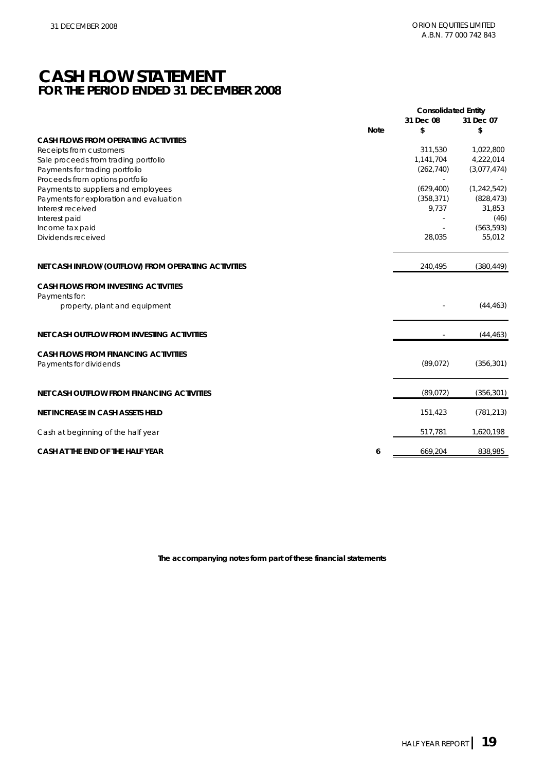### **CASH FLOW STATEMENT FOR THE PERIOD ENDED 31 DECEMBER 2008**

|                                                                       |             | <b>Consolidated Entity</b><br>31 Dec 08 | 31 Dec 07     |
|-----------------------------------------------------------------------|-------------|-----------------------------------------|---------------|
|                                                                       | <b>Note</b> | \$                                      | \$            |
| <b>CASH FLOWS FROM OPERATING ACTIVITIES</b>                           |             |                                         |               |
| Receipts from customers                                               |             | 311,530                                 | 1,022,800     |
| Sale proceeds from trading portfolio                                  |             | 1,141,704                               | 4,222,014     |
| Payments for trading portfolio                                        |             | (262, 740)                              | (3,077,474)   |
| Proceeds from options portfolio                                       |             |                                         |               |
| Payments to suppliers and employees                                   |             | (629, 400)                              | (1, 242, 542) |
| Payments for exploration and evaluation                               |             | (358, 371)                              | (828, 473)    |
| Interest received                                                     |             | 9,737                                   | 31,853        |
| Interest paid                                                         |             |                                         | (46)          |
| Income tax paid                                                       |             |                                         | (563, 593)    |
| Dividends received                                                    |             | 28,035                                  | 55,012        |
| NET CASH INFLOW/(OUTFLOW) FROM OPERATING ACTIVITIES                   |             | 240,495                                 | (380, 449)    |
| <b>CASH FLOWS FROM INVESTING ACTIVITIES</b>                           |             |                                         |               |
| Payments for:                                                         |             |                                         |               |
| property, plant and equipment                                         |             |                                         | (44, 463)     |
| NET CASH OUTFLOW FROM INVESTING ACTIVITIES                            |             |                                         | (44, 463)     |
|                                                                       |             |                                         |               |
| <b>CASH FLOWS FROM FINANCING ACTIVITIES</b><br>Payments for dividends |             | (89, 072)                               | (356, 301)    |
| NET CASH OUTFLOW FROM FINANCING ACTIVITIES                            |             | (89, 072)                               | (356, 301)    |
| NET INCREASE IN CASH ASSETS HELD                                      |             | 151,423                                 | (781, 213)    |
| Cash at beginning of the half year                                    |             | 517,781                                 | 1,620,198     |
| CASH AT THE END OF THE HALF YEAR                                      | 6           | 669,204                                 | 838,985       |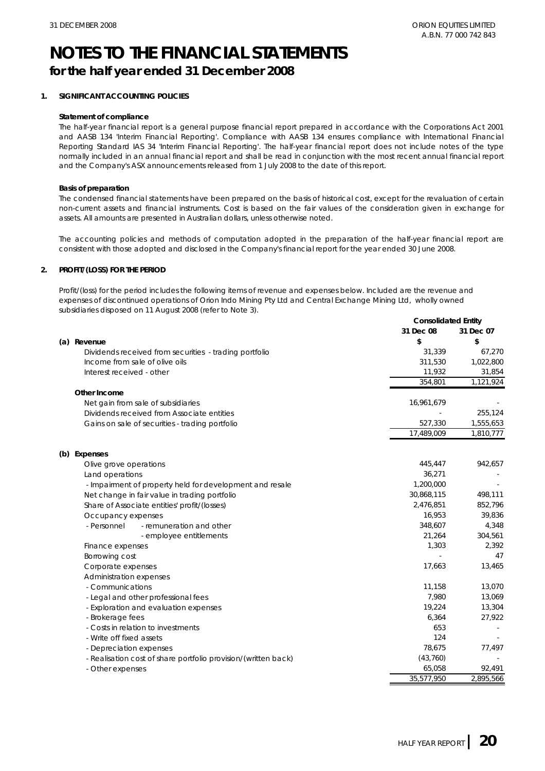### **NOTES TO THE FINANCIAL STATEMENTS for the half year ended 31 December 2008**

#### **1. SIGNIFICANT ACCOUNTING POLICIES**

#### **Statement of compliance**

The half-year financial report is a general purpose financial report prepared in accordance with the Corporations Act 2001 and AASB 134 'Interim Financial Reporting'. Compliance with AASB 134 ensures compliance with International Financial Reporting Standard IAS 34 'Interim Financial Reporting'. The half-year financial report does not include notes of the type normally included in an annual financial report and shall be read in conjunction with the most recent annual financial report and the Company's ASX announcements released from 1 July 2008 to the date of this report.

#### **Basis of preparation**

The condensed financial statements have been prepared on the basis of historical cost, except for the revaluation of certain non-current assets and financial instruments. Cost is based on the fair values of the consideration given in exchange for assets. All amounts are presented in Australian dollars, unless otherwise noted.

The accounting policies and methods of computation adopted in the preparation of the half-year financial report are consistent with those adopted and disclosed in the Company's financial report for the year ended 30 June 2008.

#### **2. PROFIT/(LOSS) FOR THE PERIOD**

Profit/(loss) for the period includes the following items of revenue and expenses below. Included are the revenue and expenses of discontinued operations of Orion Indo Mining Pty Ltd and Central Exchange Mining Ltd, wholly owned subsidiaries disposed on 11 August 2008 (refer to Note 3). **Consolidated Entity**

|                                                                | Consolidated Entity |                           |
|----------------------------------------------------------------|---------------------|---------------------------|
|                                                                | 31 Dec 08           | 31 Dec 07                 |
| (a) Revenue                                                    | \$                  | \$                        |
| Dividends received from securities - trading portfolio         | 31,339              | 67,270                    |
| Income from sale of olive oils                                 | 311,530             | 1,022,800                 |
| Interest received - other                                      | 11,932              | 31,854                    |
|                                                                | 354,801             | $\overline{1}$ , 121, 924 |
| Other Income                                                   |                     |                           |
| Net gain from sale of subsidiaries                             | 16,961,679          |                           |
| Dividends received from Associate entities                     |                     | 255,124                   |
| Gains on sale of securities - trading portfolio                | 527,330             | 1,555,653                 |
|                                                                | 17,489,009          | 1,810,777                 |
| (b) Expenses                                                   |                     |                           |
| Olive grove operations                                         | 445,447             | 942,657                   |
| Land operations                                                | 36,271              |                           |
| - Impairment of property held for development and resale       | 1,200,000           |                           |
| Net change in fair value in trading portfolio                  | 30,868,115          | 498,111                   |
| Share of Associate entities' profit/(losses)                   | 2,476,851           | 852,796                   |
| Occupancy expenses                                             | 16,953              | 39,836                    |
| - Personnel<br>- remuneration and other                        | 348,607             | 4,348                     |
| - employee entitlements                                        | 21,264              | 304,561                   |
| Finance expenses                                               | 1,303               | 2,392                     |
| Borrowing cost                                                 |                     | 47                        |
| Corporate expenses                                             | 17,663              | 13,465                    |
| Administration expenses                                        |                     |                           |
| - Communications                                               | 11,158              | 13,070                    |
| - Legal and other professional fees                            | 7,980               | 13,069                    |
| - Exploration and evaluation expenses                          | 19,224              | 13,304                    |
| - Brokerage fees                                               | 6,364               | 27,922                    |
| - Costs in relation to investments                             | 653                 |                           |
| - Write off fixed assets                                       | 124                 |                           |
| - Depreciation expenses                                        | 78,675              | 77,497                    |
| - Realisation cost of share portfolio provision/(written back) | (43,760)            |                           |
| - Other expenses                                               | 65,058              | 92,491                    |
|                                                                | 35,577,950          | 2,895,566                 |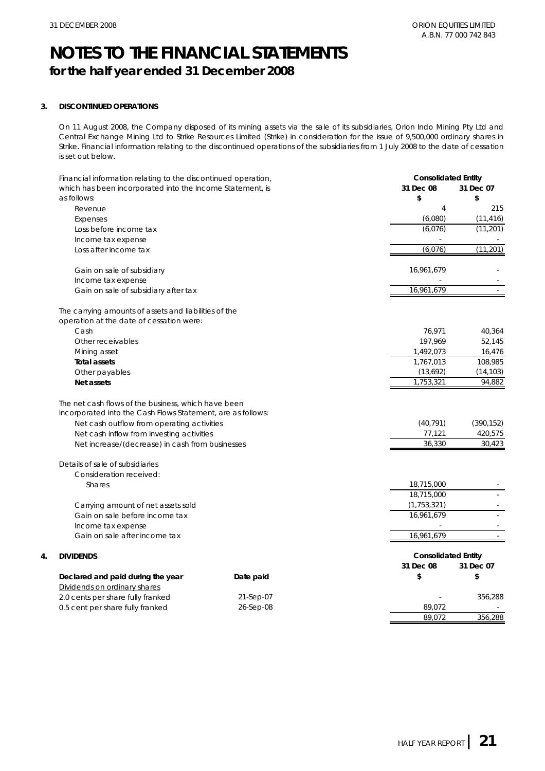### **NOTES TO THE FINANCIAL STATEMENTS for the half year ended 31 December 2008**

#### **3. DISCONTINUED OPERATIONS**

**4. DIVIDENDS**

On 11 August 2008, the Company disposed of its mining assets via the sale of its subsidiaries, Orion Indo Mining Pty Ltd and Central Exchange Mining Ltd to Strike Resources Limited (Strike) in consideration for the issue of 9,500,000 ordinary shares in Strike. Financial information relating to the discontinued operations of the subsidiaries from 1 July 2008 to the date of cessation is set out below.

| Financial information relating to the discontinued operation,     |           | <b>Consolidated Entity</b> |            |
|-------------------------------------------------------------------|-----------|----------------------------|------------|
| which has been incorporated into the Income Statement, is         |           | 31 Dec 08                  | 31 Dec 07  |
| as follows:                                                       |           | \$                         | \$         |
| Revenue                                                           |           | $\overline{4}$             | 215        |
| Expenses                                                          |           | (6,080)                    | (11, 416)  |
| Loss before income tax                                            |           | (6,076)                    | (11, 201)  |
| Income tax expense                                                |           |                            |            |
| Loss after income tax                                             |           | (6,076)                    | (11, 201)  |
| Gain on sale of subsidiary                                        |           | 16,961,679                 |            |
| Income tax expense                                                |           |                            |            |
| Gain on sale of subsidiary after tax                              |           | 16,961,679                 |            |
| The carrying amounts of assets and liabilities of the             |           |                            |            |
| operation at the date of cessation were:                          |           |                            |            |
| Cash                                                              |           | 76,971                     | 40,364     |
| Other receivables                                                 |           | 197,969                    | 52,145     |
| Mining asset                                                      |           | 1,492,073                  | 16,476     |
| <b>Total assets</b>                                               |           | 1,767,013                  | 108,985    |
| Other payables                                                    |           | (13,692)                   | (14, 103)  |
| Net assets                                                        |           | 1,753,321                  | 94,882     |
| The net cash flows of the business, which have been               |           |                            |            |
| incorporated into the Cash Flows Statement, are as follows:       |           |                            |            |
| Net cash outflow from operating activities                        |           | (40, 791)                  | (390, 152) |
| Net cash inflow from investing activities                         |           | 77,121                     | 420,575    |
| Net increase/(decrease) in cash from businesses                   |           | 36,330                     | 30,423     |
| Details of sale of subsidiaries                                   |           |                            |            |
| Consideration received:                                           |           |                            |            |
| <b>Shares</b>                                                     |           | 18,715,000                 |            |
|                                                                   |           | 18,715,000                 |            |
| Carrying amount of net assets sold                                |           | (1, 753, 321)              |            |
| Gain on sale before income tax                                    |           | 16,961,679                 |            |
| Income tax expense                                                |           |                            |            |
| Gain on sale after income tax                                     |           | 16,961,679                 |            |
| <b>DIVIDENDS</b>                                                  |           | <b>Consolidated Entity</b> |            |
|                                                                   |           | 31 Dec 08                  | 31 Dec 07  |
| Declared and paid during the year                                 | Date paid | \$                         | \$         |
| Dividends on ordinary shares<br>2.0 cents per share fully franked | 21-Sep-07 |                            | 356,288    |
| 0.5 cent per share fully franked                                  | 26-Sep-08 | 89,072                     |            |
|                                                                   |           | 89.072                     | 356.288    |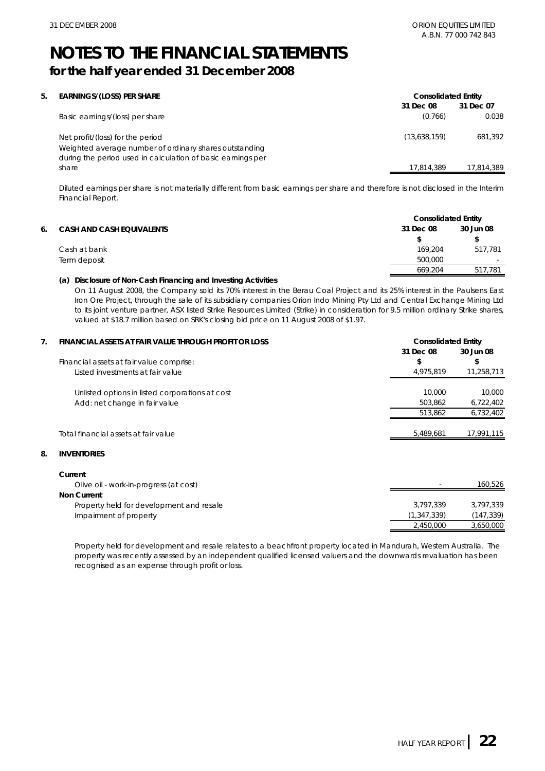**Consolidated Entity**

### **NOTES TO THE FINANCIAL STATEMENTS for the half year ended 31 December 2008**

| 5. | EARNINGS/(LOSS) PER SHARE                                   | <b>Consolidated Entity</b> |            |
|----|-------------------------------------------------------------|----------------------------|------------|
|    |                                                             | 31 Dec 08                  | 31 Dec 07  |
|    | Basic earnings/(loss) per share                             | (0.766)                    | 0.038      |
|    | Net profit/(loss) for the period                            | (13,638,159)               | 681.392    |
|    | Weighted average number of ordinary shares outstanding      |                            |            |
|    | during the period used in calculation of basic earnings per |                            |            |
|    | share                                                       | 17.814.389                 | 17.814.389 |

Diluted earnings per share is not materially different from basic earnings per share and therefore is not disclosed in the Interim Financial Report.

|    |                                  | <b>Consolidated Entity</b> |                          |
|----|----------------------------------|----------------------------|--------------------------|
| 6. | <b>CASH AND CASH EQUIVALENTS</b> | 31 Dec 08                  | 30 Jun 08                |
|    |                                  |                            |                          |
|    | Cash at bank                     | 169.204                    | 517.781                  |
|    | Term deposit                     | 500,000                    | $\overline{\phantom{0}}$ |
|    |                                  | 669.204                    | 517.781                  |

#### **(a) Disclosure of Non-Cash Financing and Investing Activities**

On 11 August 2008, the Company sold its 70% interest in the Berau Coal Project and its 25% interest in the Paulsens East Iron Ore Project, through the sale of its subsidiary companies Orion Indo Mining Pty Ltd and Central Exchange Mining Ltd to its joint venture partner, ASX listed Strike Resources Limited (Strike) in consideration for 9.5 million ordinary Strike shares, valued at \$18.7 million based on SRK's closing bid price on 11 August 2008 of \$1.97.

#### **7. FINANCIAL ASSETS AT FAIR VALUE THROUGH PROFIT OR LOSS**

| Financial assets at fair value comprise: |                                                 | 31 Dec 08<br>\$ | 30 Jun 08<br>\$ |
|------------------------------------------|-------------------------------------------------|-----------------|-----------------|
| Listed investments at fair value         |                                                 | 4,975,819       | 11,258,713      |
|                                          | Unlisted options in listed corporations at cost | 10,000          | 10,000          |
| Add: net change in fair value            |                                                 | 503,862         | 6,722,402       |
|                                          |                                                 | 513,862         | 6,732,402       |
| Total financial assets at fair value     |                                                 | 5,489,681       | 17,991,115      |
| 8.<br><b>INVENTORIES</b>                 |                                                 |                 |                 |

#### **Current**

Olive oil - work-in-progress (at cost) **Non Current** Property held for development and resale Impairment of property 160,526 3,797,339 (1,347,339) - 3,797,339 2,450,000 (147,339) 3,650,000

Property held for development and resale relates to a beachfront property located in Mandurah, Western Australia. The property was recently assessed by an independent qualified licensed valuers and the downwards revaluation has been recognised as an expense through profit or loss.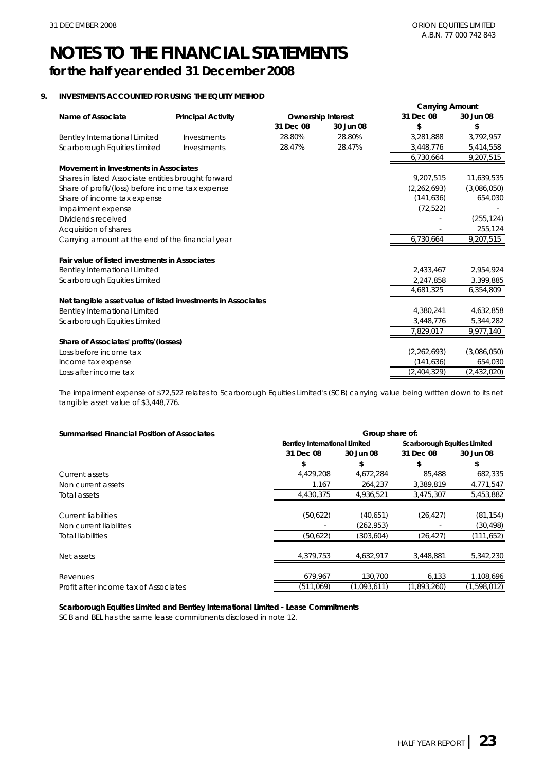### **NOTES TO THE FINANCIAL STATEMENTS for the half year ended 31 December 2008**

#### **9. INVESTMENTS ACCOUNTED FOR USING THE EQUITY METHOD**

|                                                              |                           |           |                           | <b>Carrying Amount</b> |             |
|--------------------------------------------------------------|---------------------------|-----------|---------------------------|------------------------|-------------|
| Name of Associate                                            | <b>Principal Activity</b> |           | <b>Ownership Interest</b> | 31 Dec 08              | 30 Jun 08   |
|                                                              |                           | 31 Dec 08 | 30 Jun 08                 | \$                     | \$          |
| Bentley International Limited                                | Investments               | 28.80%    | 28.80%                    | 3,281,888              | 3,792,957   |
| Scarborough Equities Limited                                 | Investments               | 28.47%    | 28.47%                    | 3,448,776              | 5,414,558   |
|                                                              |                           |           |                           | 6,730,664              | 9,207,515   |
| Movement in Investments in Associates                        |                           |           |                           |                        |             |
| Shares in listed Associate entities brought forward          |                           |           |                           | 9,207,515              | 11,639,535  |
| Share of profit/(loss) before income tax expense             |                           |           |                           | (2, 262, 693)          | (3,086,050) |
| Share of income tax expense                                  |                           |           |                           | (141, 636)             | 654,030     |
| Impairment expense                                           |                           |           |                           | (72, 522)              |             |
| Dividends received                                           |                           |           |                           |                        | (255, 124)  |
| Acquisition of shares                                        |                           |           |                           |                        | 255,124     |
| Carrying amount at the end of the financial year             |                           |           |                           | 6,730,664              | 9,207,515   |
| Fair value of listed investments in Associates               |                           |           |                           |                        |             |
| Bentley International Limited                                |                           |           |                           | 2,433,467              | 2,954,924   |
| Scarborough Equities Limited                                 |                           |           |                           | 2,247,858              | 3,399,885   |
|                                                              |                           |           |                           | 4,681,325              | 6,354,809   |
| Net tangible asset value of listed investments in Associates |                           |           |                           |                        |             |
| <b>Bentley International Limited</b>                         |                           |           |                           | 4,380,241              | 4,632,858   |
| Scarborough Equities Limited                                 |                           |           |                           | 3,448,776              | 5,344,282   |
|                                                              |                           |           |                           | 7,829,017              | 9,977,140   |
| Share of Associates' profits/(losses)                        |                           |           |                           |                        |             |
| Loss before income tax                                       |                           |           |                           | (2, 262, 693)          | (3,086,050) |
| Income tax expense                                           |                           |           |                           | (141, 636)             | 654,030     |
| Loss after income tax                                        |                           |           |                           | (2,404,329)            | (2,432,020) |

The impairment expense of \$72,522 relates to Scarborough Equities Limited's (SCB) carrying value being written down to its net tangible asset value of \$3,448,776.

| <b>Summarised Financial Position of Associates</b> | Group share of: |                                                                      |             |             |  |
|----------------------------------------------------|-----------------|----------------------------------------------------------------------|-------------|-------------|--|
|                                                    |                 | <b>Bentley International Limited</b><br>Scarborough Equities Limited |             |             |  |
|                                                    | 31 Dec 08       | 30 Jun 08                                                            | 31 Dec 08   | 30 Jun 08   |  |
|                                                    | \$              | \$                                                                   | \$          | \$          |  |
| Current assets                                     | 4.429.208       | 4,672,284                                                            | 85,488      | 682,335     |  |
| Non current assets                                 | 1,167           | 264.237                                                              | 3,389,819   | 4,771,547   |  |
| Total assets                                       | 4.430.375       | 4,936,521                                                            | 3,475,307   | 5,453,882   |  |
| Current liabilities                                | (50,622)        | (40,651)                                                             | (26, 427)   | (81, 154)   |  |
| Non current liabilites                             |                 | (262, 953)                                                           |             | (30, 498)   |  |
| <b>Total liabilities</b>                           | (50,622)        | (303, 604)                                                           | (26, 427)   | (111, 652)  |  |
| Net assets                                         | 4,379,753       | 4,632,917                                                            | 3,448,881   | 5,342,230   |  |
| Revenues                                           | 679,967         | 130.700                                                              | 6,133       | 1,108,696   |  |
| Profit after income tax of Associates              | (511,069)       | (1,093,611)                                                          | (1,893,260) | (1,598,012) |  |

**Scarborough Equities Limited and Bentley International Limited - Lease Commitments**

SCB and BEL has the same lease commitments disclosed in note 12.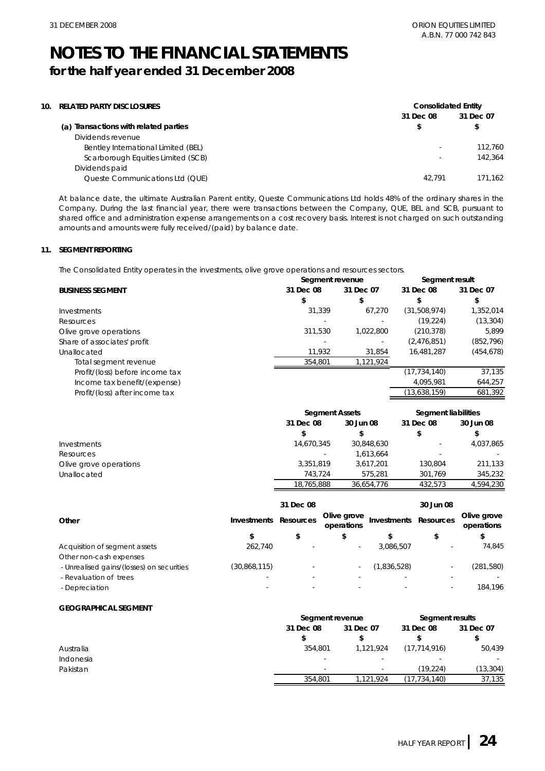### **NOTES TO THE FINANCIAL STATEMENTS for the half year ended 31 December 2008**

| 10. | <b>RELATED PARTY DISCLOSURES</b>      | <b>Consolidated Entity</b> |           |
|-----|---------------------------------------|----------------------------|-----------|
|     |                                       | 31 Dec 08                  | 31 Dec 07 |
|     | (a) Transactions with related parties |                            |           |
|     | Dividends revenue                     |                            |           |
|     | Bentley International Limited (BEL)   | $\sim$                     | 112,760   |
|     | Scarborough Equities Limited (SCB)    | $\overline{\phantom{a}}$   | 142,364   |
|     | Dividends paid                        |                            |           |
|     | Queste Communications Ltd (QUE)       | 42.791                     | 171.162   |
|     |                                       |                            |           |

At balance date, the ultimate Australian Parent entity, Queste Communications Ltd holds 48% of the ordinary shares in the Company. During the last financial year, there were transactions between the Company, QUE, BEL and SCB, pursuant to shared office and administration expense arrangements on a cost recovery basis. Interest is not charged on such outstanding amounts and amounts were fully received/(paid) by balance date.

#### **11. SEGMENT REPORTING**

The Consolidated Entity operates in the investments, olive grove operations and resources sectors.

| 31 Dec 07<br>31 Dec 07<br>31 Dec 08<br>31 Dec 08<br><b>BUSINESS SEGMENT</b><br>\$<br>\$<br>(31,508,974)<br>31,339<br>67.270<br>Investments<br>(19, 224)<br>Resources<br>(210, 378)<br>311.530<br>1,022,800<br>Olive grove operations<br>(2,476,851)<br>Share of associates' profit<br>$\overline{\phantom{a}}$<br>11,932<br>16.481.287<br>31,854<br>Unallocated<br>1,121,924<br>354.801<br>Total segment revenue<br>(17, 734, 140)<br>Profit/(loss) before income tax | Segment revenue              |  | Segment result |            |
|-----------------------------------------------------------------------------------------------------------------------------------------------------------------------------------------------------------------------------------------------------------------------------------------------------------------------------------------------------------------------------------------------------------------------------------------------------------------------|------------------------------|--|----------------|------------|
|                                                                                                                                                                                                                                                                                                                                                                                                                                                                       |                              |  |                |            |
|                                                                                                                                                                                                                                                                                                                                                                                                                                                                       |                              |  |                |            |
|                                                                                                                                                                                                                                                                                                                                                                                                                                                                       |                              |  |                | 1,352,014  |
|                                                                                                                                                                                                                                                                                                                                                                                                                                                                       |                              |  |                | (13, 304)  |
|                                                                                                                                                                                                                                                                                                                                                                                                                                                                       |                              |  |                | 5.899      |
|                                                                                                                                                                                                                                                                                                                                                                                                                                                                       |                              |  |                | (852, 796) |
|                                                                                                                                                                                                                                                                                                                                                                                                                                                                       |                              |  |                | (454, 678) |
|                                                                                                                                                                                                                                                                                                                                                                                                                                                                       |                              |  |                |            |
|                                                                                                                                                                                                                                                                                                                                                                                                                                                                       |                              |  |                | 37.135     |
|                                                                                                                                                                                                                                                                                                                                                                                                                                                                       | Income tax benefit/(expense) |  | 4,095,981      | 644,257    |
| (13,638,159)<br>Profit/(loss) after income tax                                                                                                                                                                                                                                                                                                                                                                                                                        |                              |  |                | 681,392    |

|                        |                          | <b>Segment Assets</b> |           | <b>Segment liabilities</b> |
|------------------------|--------------------------|-----------------------|-----------|----------------------------|
|                        | 31 Dec 08                | 30 Jun 08             | 31 Dec 08 | 30 Jun 08                  |
|                        |                          |                       | S         | \$                         |
| Investments            | 14,670,345               | 30,848,630            | -         | 4,037,865                  |
| Resources              | $\overline{\phantom{a}}$ | 1.613.664             |           |                            |
| Olive grove operations | 3.351.819                | 3.617.201             | 130.804   | 211,133                    |
| Unallocated            | 743.724                  | 575.281               | 301.769   | 345,232                    |
|                        | 18,765,888               | 36,654,776            | 432.573   | 4.594.230                  |

|                                           |                    | 31 Dec 08 |                           |                          | 30 Jun 08        |                           |
|-------------------------------------------|--------------------|-----------|---------------------------|--------------------------|------------------|---------------------------|
| Other                                     | <b>Investments</b> | Resources | Olive grove<br>operations | Investments              | <b>Resources</b> | Olive grove<br>operations |
|                                           | \$                 | \$        | \$                        |                          | \$               |                           |
| Acquisition of segment assets             | 262.740            |           | $\overline{\phantom{a}}$  | 3,086,507                | ۰                | 74.845                    |
| Other non-cash expenses                   |                    |           |                           |                          |                  |                           |
| - Unrealised gains/(losses) on securities | (30,868,115)       |           |                           | (1,836,528)              |                  | (281, 580)                |
| - Revaluation of trees                    |                    |           |                           | $\overline{\phantom{a}}$ |                  |                           |
| - Depreciation                            |                    |           |                           |                          |                  | 184.196                   |

#### **GEOGRAPHICAL SEGMENT**

|           |           | Segment revenue          |                          | Segment results |  |
|-----------|-----------|--------------------------|--------------------------|-----------------|--|
|           | 31 Dec 08 | 31 Dec 07                | 31 Dec 08                | 31 Dec 07       |  |
|           |           |                          |                          |                 |  |
| Australia | 354,801   | 1.121.924                | (17, 714, 916)           | 50,439          |  |
| Indonesia | -         | $\overline{\phantom{a}}$ | $\overline{\phantom{0}}$ | $\sim$          |  |
| Pakistan  | -         | $\overline{\phantom{a}}$ | (19.224)                 | (13,304)        |  |
|           | 354.801   | 1,121,924                | (17,734,140)             | 37,135          |  |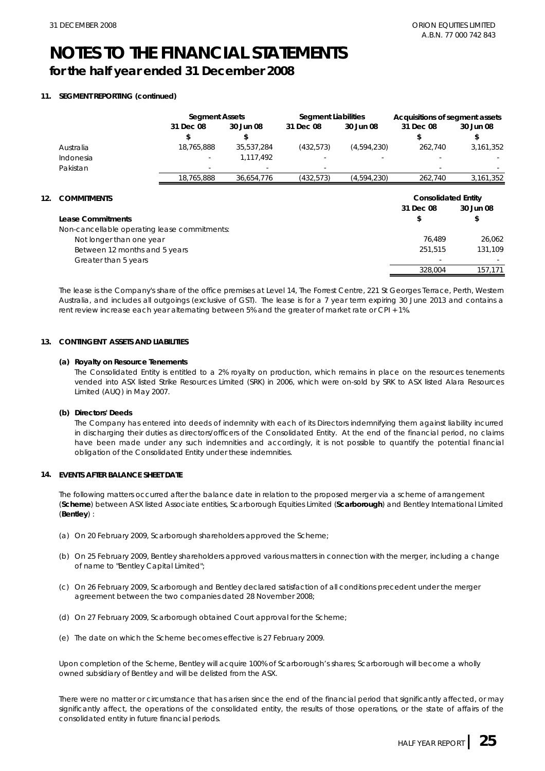**12.** 

### **NOTES TO THE FINANCIAL STATEMENTS for the half year ended 31 December 2008**

#### **11. SEGMENT REPORTING (continued)**

|                                              | <b>Segment Assets</b> |            | <b>Segment Liabilities</b> |             | Acquisitions of segment assets |           |
|----------------------------------------------|-----------------------|------------|----------------------------|-------------|--------------------------------|-----------|
|                                              | 31 Dec 08             | 30 Jun 08  | 31 Dec 08                  | 30 Jun 08   | 31 Dec 08                      | 30 Jun 08 |
|                                              | \$                    | S          |                            |             | \$                             | \$        |
| Australia                                    | 18,765,888            | 35,537,284 | (432, 573)                 | (4,594,230) | 262,740                        | 3,161,352 |
| Indonesia                                    |                       | 1,117,492  |                            |             |                                |           |
| Pakistan                                     |                       |            |                            |             |                                |           |
|                                              | 18.765.888            | 36,654,776 | (432, 573)                 | (4,594,230) | 262.740                        | 3,161,352 |
|                                              |                       |            |                            |             |                                |           |
| <b>COMMITMENTS</b>                           |                       |            |                            |             | <b>Consolidated Entity</b>     |           |
|                                              |                       |            |                            |             | 31 Dec 08                      | 30 Jun 08 |
| Lease Commitments                            |                       |            |                            |             |                                |           |
|                                              |                       |            |                            |             | \$                             |           |
| Non-cancellable operating lease commitments: |                       |            |                            |             |                                |           |
| Not longer than one year                     |                       |            |                            |             | 76.489                         | 26.062    |
| Between 12 months and 5 years                |                       |            |                            |             | 251,515                        | 131,109   |
| Greater than 5 years                         |                       |            |                            |             |                                |           |

The lease is the Company's share of the office premises at Level 14, The Forrest Centre, 221 St Georges Terrace, Perth, Western Australia, and includes all outgoings (exclusive of GST). The lease is for a 7 year term expiring 30 June 2013 and contains a rent review increase each year alternating between 5% and the greater of market rate or CPI + 1%.

#### **13. CONTINGENT ASSETS AND LIABILITIES**

#### **(a) Royalty on Resource Tenements**

The Consolidated Entity is entitled to a 2% royalty on production, which remains in place on the resources tenements vended into ASX listed Strike Resources Limited (SRK) in 2006, which were on-sold by SRK to ASX listed Alara Resources Limited (AUQ) in May 2007.

#### **(b) Directors' Deeds**

The Company has entered into deeds of indemnity with each of its Directors indemnifying them against liability incurred in discharging their duties as directors/officers of the Consolidated Entity. At the end of the financial period, no claims have been made under any such indemnities and accordingly, it is not possible to quantify the potential financial obligation of the Consolidated Entity under these indemnities.

#### **14. EVENTS AFTER BALANCE SHEET DATE**

The following matters occurred after the balance date in relation to the proposed merger via a scheme of arrangement (**Scheme**) between ASX listed Associate entities, Scarborough Equities Limited (**Scarborough**) and Bentley International Limited (**Bentley**) :

- (a) On 20 February 2009, Scarborough shareholders approved the Scheme;
- (b) On 25 February 2009, Bentley shareholders approved various matters in connection with the merger, including a change of name to "Bentley Capital Limited";
- (c) On 26 February 2009, Scarborough and Bentley declared satisfaction of all conditions precedent under the merger agreement between the two companies dated 28 November 2008;
- (d) On 27 February 2009, Scarborough obtained Court approval for the Scheme;
- (e) The date on which the Scheme becomes effective is 27 February 2009.

Upon completion of the Scheme, Bentley will acquire 100% of Scarborough's shares; Scarborough will become a wholly owned subsidiary of Bentley and will be delisted from the ASX.

There were no matter or circumstance that has arisen since the end of the financial period that significantly affected, or may significantly affect, the operations of the consolidated entity, the results of those operations, or the state of affairs of the consolidated entity in future financial periods.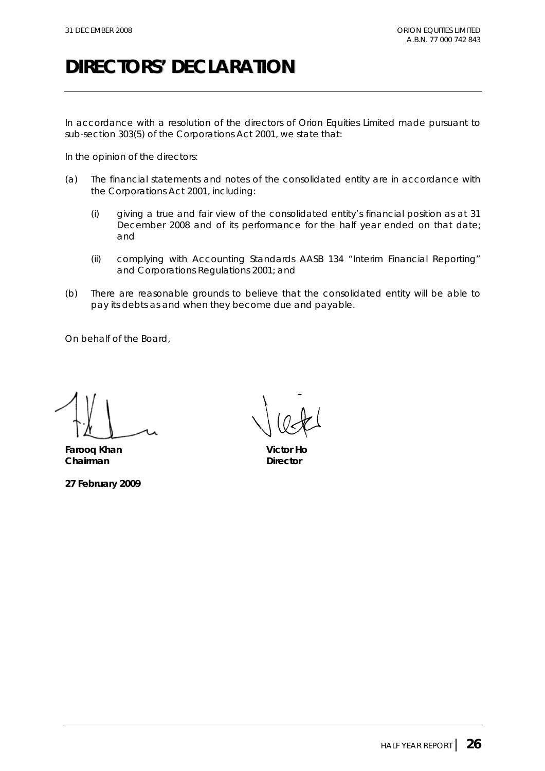# **DIRECTORS' DECLARATION**

In accordance with a resolution of the directors of Orion Equities Limited made pursuant to sub-section 303(5) of the *Corporations Act 2001*, we state that:

In the opinion of the directors:

- (a) The financial statements and notes of the consolidated entity are in accordance with the *Corporations Act 2001*, including:
	- (i) giving a true and fair view of the consolidated entity's financial position as at 31 December 2008 and of its performance for the half year ended on that date; and
	- (ii) complying with Accounting Standards AASB 134 "Interim Financial Reporting" and *Corporations Regulations 2001*; and
- (b) There are reasonable grounds to believe that the consolidated entity will be able to pay its debts as and when they become due and payable.

On behalf of the Board,

**Farooq Khan Victor Ho Chairman** Director

**27 February 2009**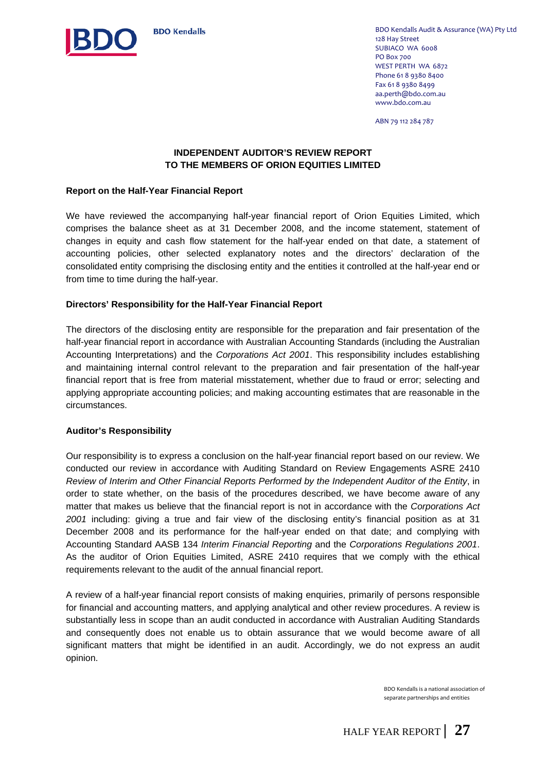

BDO Kendalls Audit & Assurance (WA) Pty Ltd 128 Hay Street SUBIACO WA 6008 PO Box 700 WEST PERTH WA 6872 Phone 61 8 9380 8400 Fax 61 8 9380 8499 aa.perth@bdo.com.au www.bdo.com.au

ABN 79 112 284 787

#### **INDEPENDENT AUDITOR'S REVIEW REPORT TO THE MEMBERS OF ORION EQUITIES LIMITED**

#### **Report on the Half-Year Financial Report**

We have reviewed the accompanying half-year financial report of Orion Equities Limited, which comprises the balance sheet as at 31 December 2008, and the income statement, statement of changes in equity and cash flow statement for the half-year ended on that date, a statement of accounting policies, other selected explanatory notes and the directors' declaration of the consolidated entity comprising the disclosing entity and the entities it controlled at the half-year end or from time to time during the half-year.

#### **Directors' Responsibility for the Half-Year Financial Report**

The directors of the disclosing entity are responsible for the preparation and fair presentation of the half-year financial report in accordance with Australian Accounting Standards (including the Australian Accounting Interpretations) and the *Corporations Act 2001*. This responsibility includes establishing and maintaining internal control relevant to the preparation and fair presentation of the half-year financial report that is free from material misstatement, whether due to fraud or error; selecting and applying appropriate accounting policies; and making accounting estimates that are reasonable in the circumstances.

#### **Auditor's Responsibility**

Our responsibility is to express a conclusion on the half-year financial report based on our review. We conducted our review in accordance with Auditing Standard on Review Engagements ASRE 2410 *Review of Interim and Other Financial Reports Performed by the Independent Auditor of the Entity*, in order to state whether, on the basis of the procedures described, we have become aware of any matter that makes us believe that the financial report is not in accordance with the *Corporations Act 2001* including: giving a true and fair view of the disclosing entity's financial position as at 31 December 2008 and its performance for the half-year ended on that date; and complying with Accounting Standard AASB 134 *Interim Financial Reporting* and the *Corporations Regulations 2001*. As the auditor of Orion Equities Limited, ASRE 2410 requires that we comply with the ethical requirements relevant to the audit of the annual financial report.

A review of a half-year financial report consists of making enquiries, primarily of persons responsible for financial and accounting matters, and applying analytical and other review procedures. A review is substantially less in scope than an audit conducted in accordance with Australian Auditing Standards and consequently does not enable us to obtain assurance that we would become aware of all significant matters that might be identified in an audit. Accordingly, we do not express an audit opinion.

> BDO Kendalls is a national association of separate partnerships and entities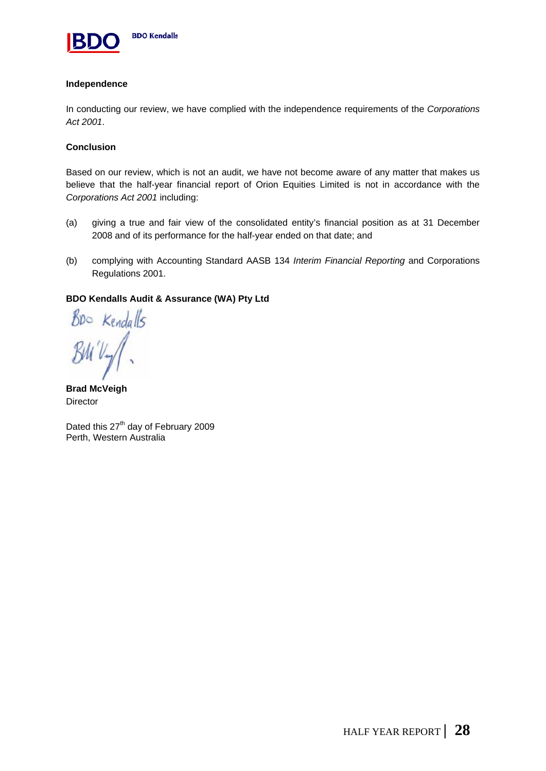

#### **Independence**

In conducting our review, we have complied with the independence requirements of the *Corporations Act 2001*.

#### **Conclusion**

Based on our review, which is not an audit, we have not become aware of any matter that makes us believe that the half-year financial report of Orion Equities Limited is not in accordance with the *Corporations Act 2001* including:

- (a) giving a true and fair view of the consolidated entity's financial position as at 31 December 2008 and of its performance for the half-year ended on that date; and
- (b) complying with Accounting Standard AASB 134 *Interim Financial Reporting* and Corporations Regulations 2001.

#### **BDO Kendalls Audit & Assurance (WA) Pty Ltd**

Boo Kendalls

**Brad McVeigh Director** 

Dated this 27<sup>th</sup> day of February 2009 Perth, Western Australia